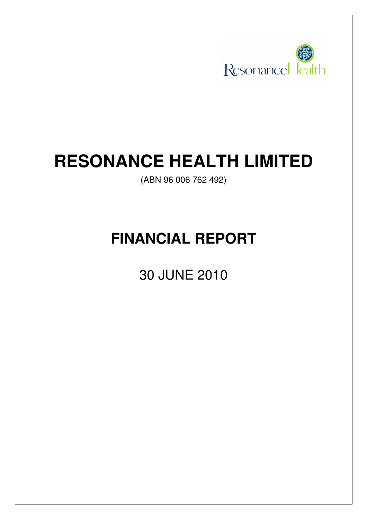

# **RESONANCE HEALTH LIMITED**

(ABN 96 006 762 492)

# **FINANCIAL REPORT**

30 JUNE 2010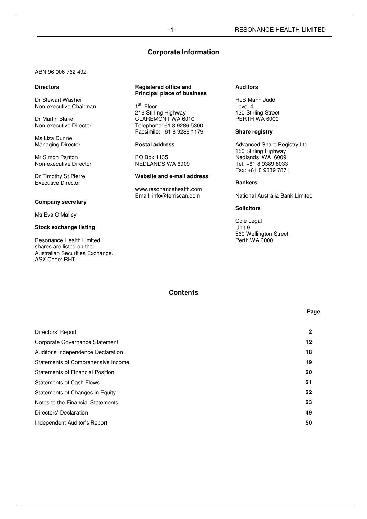## -1- RESONANCE HEALTH LIMITED

#### **Corporate Information**

ABN 96 006 762 492

#### **Directors**

Dr Stewart Washer Non-executive Chairman

Dr Martin Blake Non-executive Director

Ms Liza Dunne Managing Director

Mr Simon Panton Non-executive Director

Dr Timothy St Pierre Executive Director

#### **Company secretary**

Ms Eva O'Malley

#### **Stock exchange listing**

Resonance Health Limited shares are listed on the Australian Securities Exchange. ASX Code: RHT

#### **Registered office and Principal place of business**

1<sup>st</sup> Floor, 216 Stirling Highway CLAREMONT WA 6010 Telephone: 61 8 9286 5300 Facsimile: 61 8 9286 1179

#### **Postal address**

PO Box 1135 NEDLANDS WA 6909

#### **Website and e-mail address**

www.resonancehealth.com Email: info@ferriscan.com

#### **Auditors**

HLB Mann Judd Level 4, 130 Stirling Street PERTH WA 6000

#### **Share registry**

Advanced Share Registry Ltd 150 Stirling Highway Nedlands WA 6009 Tel: +61 8 9389 8033 Fax: +61 8 9389 7871

#### **Bankers**

National Australia Bank Limited

#### **Solicitors**

Cole Legal Unit 9 569 Wellington Street Perth WA 6000

## **Contents**

## **Page**

| Directors' Report                       | 2  |
|-----------------------------------------|----|
| Corporate Governance Statement          | 12 |
| Auditor's Independence Declaration      | 18 |
| Statements of Comprehensive Income      | 19 |
| <b>Statements of Financial Position</b> | 20 |
| <b>Statements of Cash Flows</b>         | 21 |
| Statements of Changes in Equity         | 22 |
| Notes to the Financial Statements       | 23 |
| Directors' Declaration                  | 49 |
| Independent Auditor's Report            | 50 |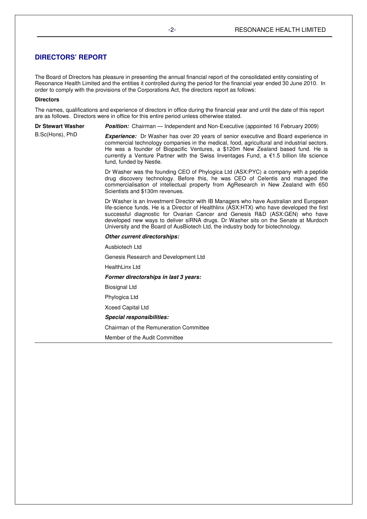#### **DIRECTORS' REPORT**

The Board of Directors has pleasure in presenting the annual financial report of the consolidated entity consisting of Resonance Health Limited and the entities it controlled during the period for the financial year ended 30 June 2010. In order to comply with the provisions of the Corporations Act, the directors report as follows:

#### **Directors**

The names, qualifications and experience of directors in office during the financial year and until the date of this report are as follows. Directors were in office for this entire period unless otherwise stated.

**Dr Stewart Washer Position:** Chairman — Independent and Non-Executive (appointed 16 February 2009)

B.Sc(Hons), PhD

**Experience:** Dr Washer has over 20 years of senior executive and Board experience in commercial technology companies in the medical, food, agricultural and industrial sectors. He was a founder of Biopacific Ventures, a \$120m New Zealand based fund. He is currently a Venture Partner with the Swiss Inventages Fund, a  $£1.5$  billion life science fund, funded by Nestle.

Dr Washer was the founding CEO of Phylogica Ltd (ASX:PYC) a company with a peptide drug discovery technology. Before this, he was CEO of Celentis and managed the commercialisation of intellectual property from AgResearch in New Zealand with 650 Scientists and \$130m revenues.

Dr Washer is an Investment Director with IB Managers who have Australian and European life-science funds. He is a Director of Healthlinx (ASX:HTX) who have developed the first successful diagnostic for Ovarian Cancer and Genesis R&D (ASX:GEN) who have developed new ways to deliver siRNA drugs. Dr Washer sits on the Senate at Murdoch University and the Board of AusBiotech Ltd, the industry body for biotechnology.

#### **Other current directorships:**

Ausbiotech Ltd

Genesis Research and Development Ltd

HealthLinx Ltd

#### **Former directorships in last 3 years:**

Biosignal Ltd

Phylogica Ltd

Xceed Capital Ltd

**Special responsibilities:** 

Chairman of the Remuneration Committee

Member of the Audit Committee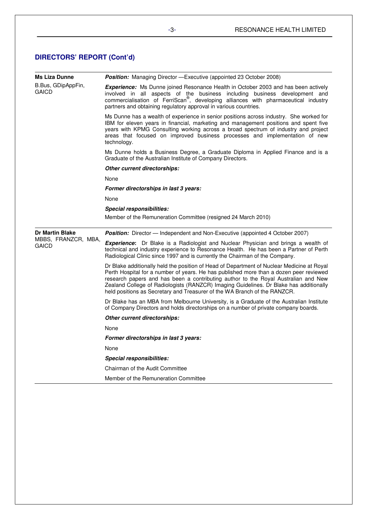| <b>Ms Liza Dunne</b>                | <b>Position:</b> Managing Director — Executive (appointed 23 October 2008)                                                                                                                                                                                                                                                                                                                                                                        |  |  |  |  |
|-------------------------------------|---------------------------------------------------------------------------------------------------------------------------------------------------------------------------------------------------------------------------------------------------------------------------------------------------------------------------------------------------------------------------------------------------------------------------------------------------|--|--|--|--|
| B.Bus, GDipAppFin,<br><b>GAICD</b>  | <b>Experience:</b> Ms Dunne joined Resonance Health in October 2003 and has been actively<br>involved in all aspects of the business including business development and<br>commercialisation of FerriScan®, developing alliances with pharmaceutical industry<br>partners and obtaining regulatory approval in various countries.                                                                                                                 |  |  |  |  |
|                                     | Ms Dunne has a wealth of experience in senior positions across industry. She worked for<br>IBM for eleven years in financial, marketing and management positions and spent five<br>years with KPMG Consulting working across a broad spectrum of industry and project<br>areas that focused on improved business processes and implementation of new<br>technology.                                                                               |  |  |  |  |
|                                     | Ms Dunne holds a Business Degree, a Graduate Diploma in Applied Finance and is a<br>Graduate of the Australian Institute of Company Directors.                                                                                                                                                                                                                                                                                                    |  |  |  |  |
|                                     | Other current directorships:                                                                                                                                                                                                                                                                                                                                                                                                                      |  |  |  |  |
|                                     | None                                                                                                                                                                                                                                                                                                                                                                                                                                              |  |  |  |  |
|                                     | Former directorships in last 3 years:                                                                                                                                                                                                                                                                                                                                                                                                             |  |  |  |  |
|                                     | None                                                                                                                                                                                                                                                                                                                                                                                                                                              |  |  |  |  |
|                                     | <b>Special responsibilities:</b>                                                                                                                                                                                                                                                                                                                                                                                                                  |  |  |  |  |
|                                     | Member of the Remuneration Committee (resigned 24 March 2010)                                                                                                                                                                                                                                                                                                                                                                                     |  |  |  |  |
|                                     |                                                                                                                                                                                                                                                                                                                                                                                                                                                   |  |  |  |  |
| <b>Dr Martin Blake</b>              | <b>Position:</b> Director — Independent and Non-Executive (appointed 4 October 2007)                                                                                                                                                                                                                                                                                                                                                              |  |  |  |  |
| MBBS, FRANZCR, MBA,<br><b>GAICD</b> | <b>Experience:</b> Dr Blake is a Radiologist and Nuclear Physician and brings a wealth of<br>technical and industry experience to Resonance Health. He has been a Partner of Perth<br>Radiological Clinic since 1997 and is currently the Chairman of the Company.                                                                                                                                                                                |  |  |  |  |
|                                     | Dr Blake additionally held the position of Head of Department of Nuclear Medicine at Royal<br>Perth Hospital for a number of years. He has published more than a dozen peer reviewed<br>research papers and has been a contributing author to the Royal Australian and New<br>Zealand College of Radiologists (RANZCR) Imaging Guidelines. Dr Blake has additionally<br>held positions as Secretary and Treasurer of the WA Branch of the RANZCR. |  |  |  |  |
|                                     | Dr Blake has an MBA from Melbourne University, is a Graduate of the Australian Institute<br>of Company Directors and holds directorships on a number of private company boards.                                                                                                                                                                                                                                                                   |  |  |  |  |
|                                     | Other current directorships:                                                                                                                                                                                                                                                                                                                                                                                                                      |  |  |  |  |
|                                     | None                                                                                                                                                                                                                                                                                                                                                                                                                                              |  |  |  |  |
|                                     | Former directorships in last 3 years:                                                                                                                                                                                                                                                                                                                                                                                                             |  |  |  |  |
|                                     | None                                                                                                                                                                                                                                                                                                                                                                                                                                              |  |  |  |  |
|                                     | Special responsibilities:                                                                                                                                                                                                                                                                                                                                                                                                                         |  |  |  |  |
|                                     | Chairman of the Audit Committee                                                                                                                                                                                                                                                                                                                                                                                                                   |  |  |  |  |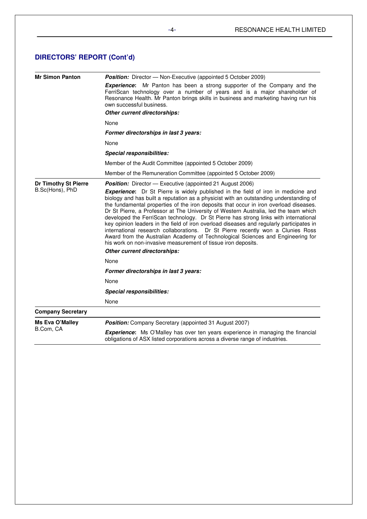| <b>Mr Simon Panton</b>      | <b>Position:</b> Director — Non-Executive (appointed 5 October 2009)                                                                                                                                                                                                                                                                                                                                                                                                                                                                                                                                                                                                                                                                                                                           |  |  |  |  |
|-----------------------------|------------------------------------------------------------------------------------------------------------------------------------------------------------------------------------------------------------------------------------------------------------------------------------------------------------------------------------------------------------------------------------------------------------------------------------------------------------------------------------------------------------------------------------------------------------------------------------------------------------------------------------------------------------------------------------------------------------------------------------------------------------------------------------------------|--|--|--|--|
|                             | <b>Experience:</b> Mr Panton has been a strong supporter of the Company and the<br>FerriScan technology over a number of years and is a major shareholder of<br>Resonance Health. Mr Panton brings skills in business and marketing having run his<br>own successful business.                                                                                                                                                                                                                                                                                                                                                                                                                                                                                                                 |  |  |  |  |
|                             | Other current directorships:                                                                                                                                                                                                                                                                                                                                                                                                                                                                                                                                                                                                                                                                                                                                                                   |  |  |  |  |
|                             | None                                                                                                                                                                                                                                                                                                                                                                                                                                                                                                                                                                                                                                                                                                                                                                                           |  |  |  |  |
|                             | Former directorships in last 3 years:                                                                                                                                                                                                                                                                                                                                                                                                                                                                                                                                                                                                                                                                                                                                                          |  |  |  |  |
|                             | None                                                                                                                                                                                                                                                                                                                                                                                                                                                                                                                                                                                                                                                                                                                                                                                           |  |  |  |  |
|                             | <b>Special responsibilities:</b>                                                                                                                                                                                                                                                                                                                                                                                                                                                                                                                                                                                                                                                                                                                                                               |  |  |  |  |
|                             | Member of the Audit Committee (appointed 5 October 2009)                                                                                                                                                                                                                                                                                                                                                                                                                                                                                                                                                                                                                                                                                                                                       |  |  |  |  |
|                             | Member of the Remuneration Committee (appointed 5 October 2009)                                                                                                                                                                                                                                                                                                                                                                                                                                                                                                                                                                                                                                                                                                                                |  |  |  |  |
| <b>Dr Timothy St Pierre</b> | <b>Position:</b> Director - Executive (appointed 21 August 2006)                                                                                                                                                                                                                                                                                                                                                                                                                                                                                                                                                                                                                                                                                                                               |  |  |  |  |
| B.Sc(Hons), PhD             | <b>Experience:</b> Dr St Pierre is widely published in the field of iron in medicine and<br>biology and has built a reputation as a physicist with an outstanding understanding of<br>the fundamental properties of the iron deposits that occur in iron overload diseases.<br>Dr St Pierre, a Professor at The University of Western Australia, led the team which<br>developed the FerriScan technology. Dr St Pierre has strong links with international<br>key opinion leaders in the field of iron overload diseases and regularly participates in<br>international research collaborations. Dr St Pierre recently won a Clunies Ross<br>Award from the Australian Academy of Technological Sciences and Engineering for<br>his work on non-invasive measurement of tissue iron deposits. |  |  |  |  |
|                             | Other current directorships:                                                                                                                                                                                                                                                                                                                                                                                                                                                                                                                                                                                                                                                                                                                                                                   |  |  |  |  |
|                             | None                                                                                                                                                                                                                                                                                                                                                                                                                                                                                                                                                                                                                                                                                                                                                                                           |  |  |  |  |
|                             | Former directorships in last 3 years:                                                                                                                                                                                                                                                                                                                                                                                                                                                                                                                                                                                                                                                                                                                                                          |  |  |  |  |
|                             | None                                                                                                                                                                                                                                                                                                                                                                                                                                                                                                                                                                                                                                                                                                                                                                                           |  |  |  |  |
|                             | <b>Special responsibilities:</b>                                                                                                                                                                                                                                                                                                                                                                                                                                                                                                                                                                                                                                                                                                                                                               |  |  |  |  |
|                             | None                                                                                                                                                                                                                                                                                                                                                                                                                                                                                                                                                                                                                                                                                                                                                                                           |  |  |  |  |
| <b>Company Secretary</b>    |                                                                                                                                                                                                                                                                                                                                                                                                                                                                                                                                                                                                                                                                                                                                                                                                |  |  |  |  |
| Ms Eva O'Malley             | Position: Company Secretary (appointed 31 August 2007)                                                                                                                                                                                                                                                                                                                                                                                                                                                                                                                                                                                                                                                                                                                                         |  |  |  |  |
| B.Com, CA                   | <b>Experience:</b> Ms O'Malley has over ten years experience in managing the financial<br>obligations of ASX listed corporations across a diverse range of industries.                                                                                                                                                                                                                                                                                                                                                                                                                                                                                                                                                                                                                         |  |  |  |  |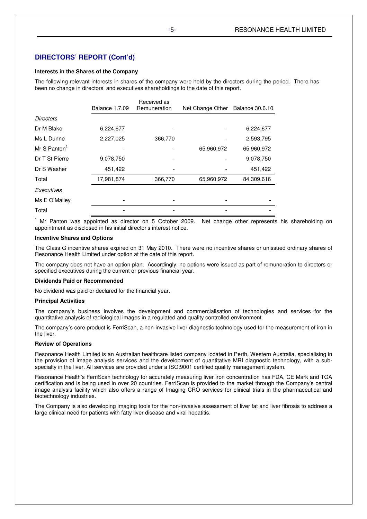#### **Interests in the Shares of the Company**

The following relevant interests in shares of the company were held by the directors during the period. There has been no change in directors' and executives shareholdings to the date of this report.

|                          | <b>Balance 1.7.09</b> | Received as<br>Remuneration | Net Change Other | <b>Balance 30.6.10</b> |
|--------------------------|-----------------------|-----------------------------|------------------|------------------------|
| <b>Directors</b>         |                       |                             |                  |                        |
| Dr M Blake               | 6,224,677             |                             |                  | 6,224,677              |
| Ms L Dunne               | 2,227,025             | 366,770                     |                  | 2,593,795              |
| Mr S Panton <sup>1</sup> |                       |                             | 65,960,972       | 65,960,972             |
| Dr T St Pierre           | 9,078,750             |                             |                  | 9,078,750              |
| Dr S Washer              | 451,422               |                             |                  | 451,422                |
| Total                    | 17,981,874            | 366,770                     | 65,960,972       | 84,309,616             |
| Executives               |                       |                             |                  |                        |
| Ms E O'Malley            |                       |                             |                  |                        |
| Total                    |                       |                             |                  |                        |

 $1$  Mr Panton was appointed as director on 5 October 2009. Net change other represents his shareholding on appointment as disclosed in his initial director's interest notice.

#### **Incentive Shares and Options**

The Class G incentive shares expired on 31 May 2010. There were no incentive shares or unissued ordinary shares of Resonance Health Limited under option at the date of this report.

The company does not have an option plan. Accordingly, no options were issued as part of remuneration to directors or specified executives during the current or previous financial year.

#### **Dividends Paid or Recommended**

No dividend was paid or declared for the financial year.

#### **Principal Activities**

The company's business involves the development and commercialisation of technologies and services for the quantitative analysis of radiological images in a regulated and quality controlled environment.

The company's core product is FerriScan, a non-invasive liver diagnostic technology used for the measurement of iron in the liver.

#### **Review of Operations**

Resonance Health Limited is an Australian healthcare listed company located in Perth, Western Australia, specialising in the provision of image analysis services and the development of quantitative MRI diagnostic technology, with a subspecialty in the liver. All services are provided under a ISO:9001 certified quality management system.

Resonance Health's FerriScan technology for accurately measuring liver iron concentration has FDA, CE Mark and TGA certification and is being used in over 20 countries. FerriScan is provided to the market through the Company's central image analysis facility which also offers a range of Imaging CRO services for clinical trials in the pharmaceutical and biotechnology industries.

The Company is also developing imaging tools for the non-invasive assessment of liver fat and liver fibrosis to address a large clinical need for patients with fatty liver disease and viral hepatitis.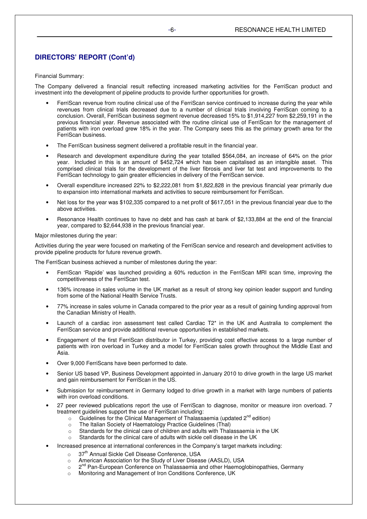#### Financial Summary:

The Company delivered a financial result reflecting increased marketing activities for the FerriScan product and investment into the development of pipeline products to provide further opportunities for growth.

- FerriScan revenue from routine clinical use of the FerriScan service continued to increase during the year while revenues from clinical trials decreased due to a number of clinical trials involving FerriScan coming to a conclusion. Overall, FerriScan business segment revenue decreased 15% to \$1,914,227 from \$2,259,191 in the previous financial year. Revenue associated with the routine clinical use of FerriScan for the management of patients with iron overload grew 18% in the year. The Company sees this as the primary growth area for the FerriScan business.
- The FerriScan business segment delivered a profitable result in the financial year.
- Research and development expenditure during the year totalled \$564,084, an increase of 64% on the prior year. Included in this is an amount of \$452,724 which has been capitalised as an intangible asset. This comprised clinical trials for the development of the liver fibrosis and liver fat test and improvements to the FerriScan technology to gain greater efficiencies in delivery of the FerriScan service.
- Overall expenditure increased 22% to \$2,222,081 from \$1,822,828 in the previous financial year primarily due to expansion into international markets and activities to secure reimbursement for FerriScan.
- Net loss for the year was \$102,335 compared to a net profit of \$617,051 in the previous financial year due to the above activities.
- Resonance Health continues to have no debt and has cash at bank of \$2,133,884 at the end of the financial year, compared to \$2,644,938 in the previous financial year.

#### Major milestones during the year:

Activities during the year were focused on marketing of the FerriScan service and research and development activities to provide pipeline products for future revenue growth.

The FerriScan business achieved a number of milestones during the year:

- FerriScan 'Rapide' was launched providing a 60% reduction in the FerriScan MRI scan time, improving the competitiveness of the FerriScan test.
- 136% increase in sales volume in the UK market as a result of strong key opinion leader support and funding from some of the National Health Service Trusts.
- 77% increase in sales volume in Canada compared to the prior year as a result of gaining funding approval from the Canadian Ministry of Health.
- Launch of a cardiac iron assessment test called Cardiac T2\* in the UK and Australia to complement the FerriScan service and provide additional revenue opportunities in established markets.
- Engagement of the first FerriScan distributor in Turkey, providing cost effective access to a large number of patients with iron overload in Turkey and a model for FerriScan sales growth throughout the Middle East and Asia.
- Over 9,000 FerriScans have been performed to date.
- Senior US based VP, Business Development appointed in January 2010 to drive growth in the large US market and gain reimbursement for FerriScan in the US.
- Submission for reimbursement in Germany lodged to drive growth in a market with large numbers of patients with iron overload conditions.
- 27 peer reviewed publications report the use of FerriScan to diagnose, monitor or measure iron overload. 7 treatment guidelines support the use of FerriScan including:
	- $\circ$  Guidelines for the Clinical Management of Thalassaemia (updated  $2^{nd}$  edition)
	- o The Italian Society of Haematology Practice Guidelines (Thal)
	- $\circ$  Standards for the clinical care of children and adults with Thalassaemia in the UK
	- o Standards for the clinical care of adults with sickle cell disease in the UK
- Increased presence at international conferences in the Company's target markets including:
	- o 37<sup>th</sup> Annual Sickle Cell Disease Conference, USA
	- o American Association for the Study of Liver Disease (AASLD), USA
	- $\circ$   $2^{nd}$  Pan-European Conference on Thalassaemia and other Haemoglobinopathies, Germany
	- o Monitoring and Management of Iron Conditions Conference, UK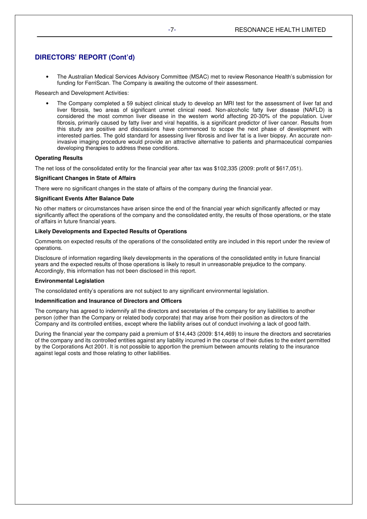• The Australian Medical Services Advisory Committee (MSAC) met to review Resonance Health's submission for funding for FerriScan. The Company is awaiting the outcome of their assessment.

Research and Development Activities:

• The Company completed a 59 subject clinical study to develop an MRI test for the assessment of liver fat and liver fibrosis, two areas of significant unmet clinical need. Non-alcoholic fatty liver disease (NAFLD) is considered the most common liver disease in the western world affecting 20-30% of the population. Liver fibrosis, primarily caused by fatty liver and viral hepatitis, is a significant predictor of liver cancer. Results from this study are positive and discussions have commenced to scope the next phase of development with interested parties. The gold standard for assessing liver fibrosis and liver fat is a liver biopsy. An accurate noninvasive imaging procedure would provide an attractive alternative to patients and pharmaceutical companies developing therapies to address these conditions.

#### **Operating Results**

The net loss of the consolidated entity for the financial year after tax was \$102,335 (2009: profit of \$617,051).

#### **Significant Changes in State of Affairs**

There were no significant changes in the state of affairs of the company during the financial year.

#### **Significant Events After Balance Date**

No other matters or circumstances have arisen since the end of the financial year which significantly affected or may significantly affect the operations of the company and the consolidated entity, the results of those operations, or the state of affairs in future financial years.

#### **Likely Developments and Expected Results of Operations**

Comments on expected results of the operations of the consolidated entity are included in this report under the review of operations.

Disclosure of information regarding likely developments in the operations of the consolidated entity in future financial years and the expected results of those operations is likely to result in unreasonable prejudice to the company. Accordingly, this information has not been disclosed in this report.

#### **Environmental Legislation**

The consolidated entity's operations are not subject to any significant environmental legislation.

#### **Indemnification and Insurance of Directors and Officers**

The company has agreed to indemnify all the directors and secretaries of the company for any liabilities to another person (other than the Company or related body corporate) that may arise from their position as directors of the Company and its controlled entities, except where the liability arises out of conduct involving a lack of good faith.

During the financial year the company paid a premium of \$14,443 (2009: \$14,469) to insure the directors and secretaries of the company and its controlled entities against any liability incurred in the course of their duties to the extent permitted by the Corporations Act 2001. It is not possible to apportion the premium between amounts relating to the insurance against legal costs and those relating to other liabilities.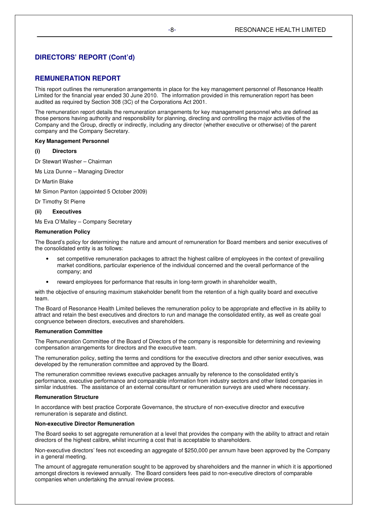## **REMUNERATION REPORT**

This report outlines the remuneration arrangements in place for the key management personnel of Resonance Health Limited for the financial year ended 30 June 2010. The information provided in this remuneration report has been audited as required by Section 308 (3C) of the Corporations Act 2001.

The remuneration report details the remuneration arrangements for key management personnel who are defined as those persons having authority and responsibility for planning, directing and controlling the major activities of the Company and the Group, directly or indirectly, including any director (whether executive or otherwise) of the parent company and the Company Secretary.

#### **Key Management Personnel**

#### **(i) Directors**

Dr Stewart Washer – Chairman

Ms Liza Dunne – Managing Director

Dr Martin Blake

Mr Simon Panton (appointed 5 October 2009)

Dr Timothy St Pierre

#### **(ii) Executives**

Ms Eva O'Malley – Company Secretary

#### **Remuneration Policy**

The Board's policy for determining the nature and amount of remuneration for Board members and senior executives of the consolidated entity is as follows:

- set competitive remuneration packages to attract the highest calibre of employees in the context of prevailing market conditions, particular experience of the individual concerned and the overall performance of the company; and
- reward employees for performance that results in long-term growth in shareholder wealth,

with the objective of ensuring maximum stakeholder benefit from the retention of a high quality board and executive team.

The Board of Resonance Health Limited believes the remuneration policy to be appropriate and effective in its ability to attract and retain the best executives and directors to run and manage the consolidated entity, as well as create goal congruence between directors, executives and shareholders.

#### **Remuneration Committee**

The Remuneration Committee of the Board of Directors of the company is responsible for determining and reviewing compensation arrangements for directors and the executive team.

The remuneration policy, setting the terms and conditions for the executive directors and other senior executives, was developed by the remuneration committee and approved by the Board.

The remuneration committee reviews executive packages annually by reference to the consolidated entity's performance, executive performance and comparable information from industry sectors and other listed companies in similar industries. The assistance of an external consultant or remuneration surveys are used where necessary.

#### **Remuneration Structure**

In accordance with best practice Corporate Governance, the structure of non-executive director and executive remuneration is separate and distinct.

#### **Non-executive Director Remuneration**

The Board seeks to set aggregate remuneration at a level that provides the company with the ability to attract and retain directors of the highest calibre, whilst incurring a cost that is acceptable to shareholders.

Non-executive directors' fees not exceeding an aggregate of \$250,000 per annum have been approved by the Company in a general meeting.

The amount of aggregate remuneration sought to be approved by shareholders and the manner in which it is apportioned amongst directors is reviewed annually. The Board considers fees paid to non-executive directors of comparable companies when undertaking the annual review process.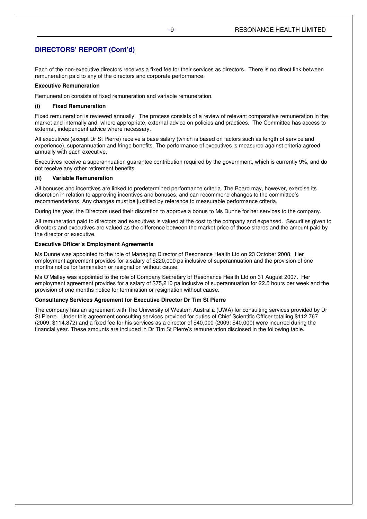Each of the non-executive directors receives a fixed fee for their services as directors. There is no direct link between remuneration paid to any of the directors and corporate performance.

#### **Executive Remuneration**

Remuneration consists of fixed remuneration and variable remuneration.

#### **(i) Fixed Remuneration**

Fixed remuneration is reviewed annually. The process consists of a review of relevant comparative remuneration in the market and internally and, where appropriate, external advice on policies and practices. The Committee has access to external, independent advice where necessary.

All executives (except Dr St Pierre) receive a base salary (which is based on factors such as length of service and experience), superannuation and fringe benefits. The performance of executives is measured against criteria agreed annually with each executive.

Executives receive a superannuation guarantee contribution required by the government, which is currently 9%, and do not receive any other retirement benefits.

#### **(ii) Variable Remuneration**

All bonuses and incentives are linked to predetermined performance criteria. The Board may, however, exercise its discretion in relation to approving incentives and bonuses, and can recommend changes to the committee's recommendations. Any changes must be justified by reference to measurable performance criteria.

During the year, the Directors used their discretion to approve a bonus to Ms Dunne for her services to the company.

All remuneration paid to directors and executives is valued at the cost to the company and expensed. Securities given to directors and executives are valued as the difference between the market price of those shares and the amount paid by the director or executive.

#### **Executive Officer's Employment Agreements**

Ms Dunne was appointed to the role of Managing Director of Resonance Health Ltd on 23 October 2008. Her employment agreement provides for a salary of \$220,000 pa inclusive of superannuation and the provision of one months notice for termination or resignation without cause.

Ms O'Malley was appointed to the role of Company Secretary of Resonance Health Ltd on 31 August 2007. Her employment agreement provides for a salary of \$75,210 pa inclusive of superannuation for 22.5 hours per week and the provision of one months notice for termination or resignation without cause.

#### **Consultancy Services Agreement for Executive Director Dr Tim St Pierre**

The company has an agreement with The University of Western Australia (UWA) for consulting services provided by Dr St Pierre. Under this agreement consulting services provided for duties of Chief Scientific Officer totalling \$112,767 (2009: \$114,872) and a fixed fee for his services as a director of \$40,000 (2009: \$40,000) were incurred during the financial year. These amounts are included in Dr Tim St Pierre's remuneration disclosed in the following table.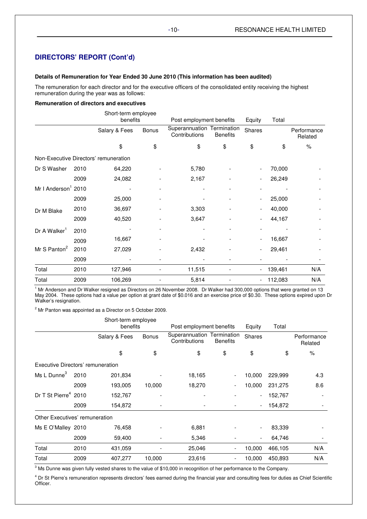#### **Details of Remuneration for Year Ended 30 June 2010 (This information has been audited)**

The remuneration for each director and for the executive officers of the consolidated entity receiving the highest remuneration during the year was as follows:

#### **Remuneration of directors and executives**

|                                 |      | Short-term employee                   |              |                                                                |    |        |         |                        |
|---------------------------------|------|---------------------------------------|--------------|----------------------------------------------------------------|----|--------|---------|------------------------|
|                                 |      | benefits                              |              | Post employment benefits                                       |    | Equity | Total   |                        |
|                                 |      | Salary & Fees                         | <b>Bonus</b> | Superannuation Termination<br>Contributions<br><b>Benefits</b> |    | Shares |         | Performance<br>Related |
|                                 |      | \$                                    | \$           | \$                                                             | \$ | \$     | \$      | $\%$                   |
|                                 |      | Non-Executive Directors' remuneration |              |                                                                |    |        |         |                        |
| Dr S Washer                     | 2010 | 64,220                                |              | 5,780                                                          |    |        | 70,000  |                        |
|                                 | 2009 | 24,082                                |              | 2,167                                                          |    |        | 26,249  |                        |
| Mr I Anderson <sup>1</sup> 2010 |      |                                       |              |                                                                |    |        |         |                        |
|                                 | 2009 | 25,000                                |              |                                                                |    |        | 25,000  |                        |
| Dr M Blake                      | 2010 | 36,697                                |              | 3,303                                                          |    |        | 40,000  |                        |
|                                 | 2009 | 40,520                                |              | 3,647                                                          |    | -      | 44,167  |                        |
| Dr A Walker <sup>1</sup>        | 2010 |                                       |              |                                                                |    |        |         |                        |
|                                 | 2009 | 16,667                                |              |                                                                |    |        | 16,667  |                        |
| Mr S Panton <sup>2</sup>        | 2010 | 27,029                                |              | 2,432                                                          |    |        | 29,461  |                        |
|                                 | 2009 |                                       |              |                                                                |    |        |         |                        |
| Total                           | 2010 | 127,946                               |              | 11,515                                                         |    |        | 139,461 | N/A                    |
| Total                           | 2009 | 106,269                               |              | 5,814                                                          |    |        | 112,083 | N/A                    |

<sup>1</sup> Mr Anderson and Dr Walker resigned as Directors on 26 November 2008. Dr Walker had 300,000 options that were granted on 13 May 2004. These options had a value per option at grant date of \$0.016 and an exercise price of \$0.30. These options expired upon Dr Walker's resignation.

<sup>2</sup> Mr Panton was appointed as a Director on 5 October 2009.

|                                   |      | Short-term employee |              |                                             |                          |                          |         |                        |
|-----------------------------------|------|---------------------|--------------|---------------------------------------------|--------------------------|--------------------------|---------|------------------------|
|                                   |      | benefits            |              | Post employment benefits                    |                          | Equity                   | Total   |                        |
|                                   |      | Salary & Fees       | <b>Bonus</b> | Superannuation Termination<br>Contributions | <b>Benefits</b>          | Shares                   |         | Performance<br>Related |
|                                   |      | \$                  | \$           | \$                                          | \$                       | \$                       | \$      | $\%$                   |
| Executive Directors' remuneration |      |                     |              |                                             |                          |                          |         |                        |
| Ms L Dunne <sup>3</sup> 2010      |      | 201,834             |              | 18,165                                      |                          | 10,000                   | 229,999 | 4.3                    |
|                                   | 2009 | 193,005             | 10,000       | 18,270                                      | $\overline{\phantom{0}}$ | 10,000                   | 231,275 | 8.6                    |
| Dr T St Pierre <sup>4</sup> 2010  |      | 152,767             |              |                                             |                          | $\overline{\phantom{a}}$ | 152,767 |                        |
|                                   | 2009 | 154,872             |              |                                             |                          | $\overline{\phantom{a}}$ | 154,872 |                        |
| Other Executives' remuneration    |      |                     |              |                                             |                          |                          |         |                        |
| Ms E O'Malley 2010                |      | 76,458              |              | 6,881                                       |                          | ٠                        | 83,339  |                        |
|                                   | 2009 | 59,400              |              | 5,346                                       |                          | $\overline{\phantom{a}}$ | 64,746  |                        |
| Total                             | 2010 | 431,059             |              | 25,046                                      |                          | 10,000                   | 466,105 | N/A                    |
| Total                             | 2009 | 407,277             | 10,000       | 23,616                                      |                          | 10,000                   | 450,893 | N/A                    |

 $3$  Ms Dunne was given fully vested shares to the value of \$10,000 in recognition of her performance to the Company.

<sup>4</sup> Dr St Pierre's remuneration represents directors' fees earned during the financial year and consulting fees for duties as Chief Scientific Officer.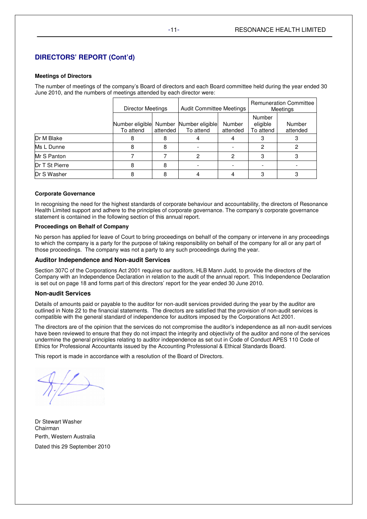#### **Meetings of Directors**

The number of meetings of the company's Board of directors and each Board committee held during the year ended 30 June 2010, and the numbers of meetings attended by each director were:

|                | <b>Director Meetings</b> |          | <b>Audit Committee Meetings</b>                     |                    | <b>Remuneration Committee</b><br><b>Meetings</b> |                    |
|----------------|--------------------------|----------|-----------------------------------------------------|--------------------|--------------------------------------------------|--------------------|
|                | To attend                | attended | Number eligible Number Number eligible<br>To attend | Number<br>attended | Number<br>eligible<br>To attend                  | Number<br>attended |
| Dr M Blake     | 8                        | 8        |                                                     | 4                  | 3                                                | 3                  |
| Ms L Dunne     | 8                        | 8        |                                                     |                    | 2                                                | 2                  |
| Mr S Panton    |                          |          | 2                                                   | 2                  | 3                                                |                    |
| Dr T St Pierre | 8                        | 8        |                                                     |                    |                                                  |                    |
| Dr S Washer    | 8                        | 8        |                                                     |                    | З                                                | 3                  |

#### **Corporate Governance**

In recognising the need for the highest standards of corporate behaviour and accountability, the directors of Resonance Health Limited support and adhere to the principles of corporate governance. The company's corporate governance statement is contained in the following section of this annual report.

#### **Proceedings on Behalf of Company**

No person has applied for leave of Court to bring proceedings on behalf of the company or intervene in any proceedings to which the company is a party for the purpose of taking responsibility on behalf of the company for all or any part of those proceedings. The company was not a party to any such proceedings during the year.

#### **Auditor Independence and Non-audit Services**

Section 307C of the Corporations Act 2001 requires our auditors, HLB Mann Judd, to provide the directors of the Company with an Independence Declaration in relation to the audit of the annual report. This Independence Declaration is set out on page 18 and forms part of this directors' report for the year ended 30 June 2010.

#### **Non-audit Services**

Details of amounts paid or payable to the auditor for non-audit services provided during the year by the auditor are outlined in Note 22 to the financial statements. The directors are satisfied that the provision of non-audit services is compatible with the general standard of independence for auditors imposed by the Corporations Act 2001.

The directors are of the opinion that the services do not compromise the auditor's independence as all non-audit services have been reviewed to ensure that they do not impact the integrity and objectivity of the auditor and none of the services undermine the general principles relating to auditor independence as set out in Code of Conduct APES 110 Code of Ethics for Professional Accountants issued by the Accounting Professional & Ethical Standards Board.

This report is made in accordance with a resolution of the Board of Directors.

Dr Stewart Washer Chairman Perth, Western Australia Dated this 29 September 2010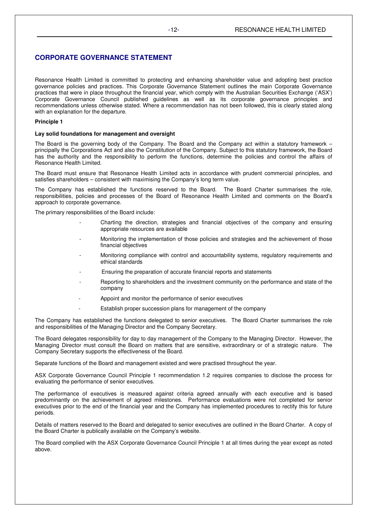# **CORPORATE GOVERNANCE STATEMENT**

Resonance Health Limited is committed to protecting and enhancing shareholder value and adopting best practice governance policies and practices. This Corporate Governance Statement outlines the main Corporate Governance practices that were in place throughout the financial year, which comply with the Australian Securities Exchange ('ASX') Corporate Governance Council published guidelines as well as its corporate governance principles and recommendations unless otherwise stated. Where a recommendation has not been followed, this is clearly stated along with an explanation for the departure.

#### **Principle 1**

#### **Lay solid foundations for management and oversight**

The Board is the governing body of the Company. The Board and the Company act within a statutory framework – principally the Corporations Act and also the Constitution of the Company. Subject to this statutory framework, the Board has the authority and the responsibility to perform the functions, determine the policies and control the affairs of Resonance Health Limited.

The Board must ensure that Resonance Health Limited acts in accordance with prudent commercial principles, and satisfies shareholders – consistent with maximising the Company's long term value.

The Company has established the functions reserved to the Board. The Board Charter summarises the role, responsibilities, policies and processes of the Board of Resonance Health Limited and comments on the Board's approach to corporate governance.

The primary responsibilities of the Board include:

- Charting the direction, strategies and financial objectives of the company and ensuring appropriate resources are available
- Monitoring the implementation of those policies and strategies and the achievement of those financial objectives
- Monitoring compliance with control and accountability systems, regulatory requirements and ethical standards
- Ensuring the preparation of accurate financial reports and statements
- Reporting to shareholders and the investment community on the performance and state of the company
- Appoint and monitor the performance of senior executives
- Establish proper succession plans for management of the company

The Company has established the functions delegated to senior executives. The Board Charter summarises the role and responsibilities of the Managing Director and the Company Secretary.

The Board delegates responsibility for day to day management of the Company to the Managing Director. However, the Managing Director must consult the Board on matters that are sensitive, extraordinary or of a strategic nature. The Company Secretary supports the effectiveness of the Board.

Separate functions of the Board and management existed and were practised throughout the year.

ASX Corporate Governance Council Principle 1 recommendation 1.2 requires companies to disclose the process for evaluating the performance of senior executives.

The performance of executives is measured against criteria agreed annually with each executive and is based predominantly on the achievement of agreed milestones. Performance evaluations were not completed for senior executives prior to the end of the financial year and the Company has implemented procedures to rectify this for future periods.

Details of matters reserved to the Board and delegated to senior executives are outlined in the Board Charter. A copy of the Board Charter is publically available on the Company's website.

The Board complied with the ASX Corporate Governance Council Principle 1 at all times during the year except as noted above.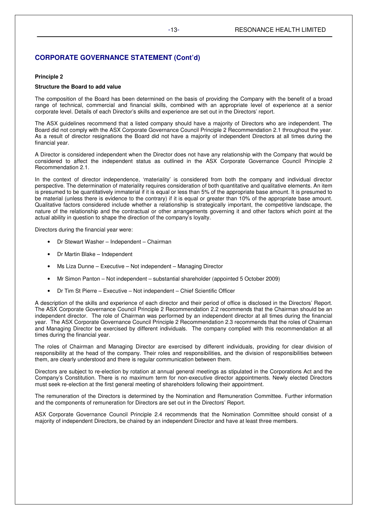#### **Principle 2**

#### **Structure the Board to add value**

The composition of the Board has been determined on the basis of providing the Company with the benefit of a broad range of technical, commercial and financial skills, combined with an appropriate level of experience at a senior corporate level. Details of each Director's skills and experience are set out in the Directors' report.

The ASX guidelines recommend that a listed company should have a majority of Directors who are independent. The Board did not comply with the ASX Corporate Governance Council Principle 2 Recommendation 2.1 throughout the year. As a result of director resignations the Board did not have a majority of independent Directors at all times during the financial year.

A Director is considered independent when the Director does not have any relationship with the Company that would be considered to affect the independent status as outlined in the ASX Corporate Governance Council Principle 2 Recommendation 2.1.

In the context of director independence, 'materiality' is considered from both the company and individual director perspective. The determination of materiality requires consideration of both quantitative and qualitative elements. An item is presumed to be quantitatively immaterial if it is equal or less than 5% of the appropriate base amount. It is presumed to be material (unless there is evidence to the contrary) if it is equal or greater than 10% of the appropriate base amount. Qualitative factors considered include whether a relationship is strategically important, the competitive landscape, the nature of the relationship and the contractual or other arrangements governing it and other factors which point at the actual ability in question to shape the direction of the company's loyalty.

Directors during the financial year were:

- Dr Stewart Washer Independent Chairman
- Dr Martin Blake Independent
- Ms Liza Dunne Executive Not independent Managing Director
- Mr Simon Panton Not independent substantial shareholder (appointed 5 October 2009)
- Dr Tim St Pierre Executive Not independent Chief Scientific Officer

A description of the skills and experience of each director and their period of office is disclosed in the Directors' Report. The ASX Corporate Governance Council Principle 2 Recommendation 2.2 recommends that the Chairman should be an independent director. The role of Chairman was performed by an independent director at all times during the financial year. The ASX Corporate Governance Council Principle 2 Recommendation 2.3 recommends that the roles of Chairman and Managing Director be exercised by different individuals. The company complied with this recommendation at all times during the financial year.

The roles of Chairman and Managing Director are exercised by different individuals, providing for clear division of responsibility at the head of the company. Their roles and responsibilities, and the division of responsibilities between them, are clearly understood and there is regular communication between them.

Directors are subject to re-election by rotation at annual general meetings as stipulated in the Corporations Act and the Company's Constitution. There is no maximum term for non-executive director appointments. Newly elected Directors must seek re-election at the first general meeting of shareholders following their appointment.

The remuneration of the Directors is determined by the Nomination and Remuneration Committee. Further information and the components of remuneration for Directors are set out in the Directors' Report.

ASX Corporate Governance Council Principle 2.4 recommends that the Nomination Committee should consist of a majority of independent Directors, be chaired by an independent Director and have at least three members.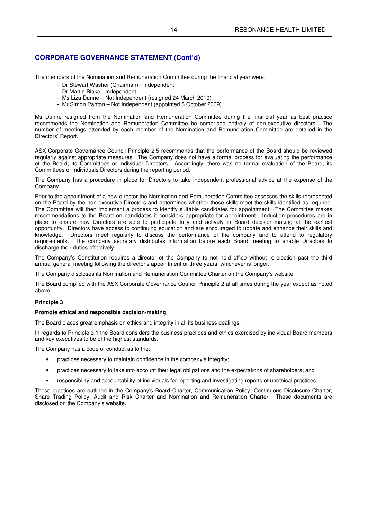The members of the Nomination and Remuneration Committee during the financial year were:

- Dr Stewart Washer (Chairman) Independent
- Dr Martin Blake Independent
- Ms Liza Dunne Not Independent (resigned 24 March 2010)
- Mr Simon Panton Not Independent (appointed 5 October 2009)

Ms Dunne resigned from the Nomination and Remuneration Committee during the financial year as best practice recommends the Nomination and Remuneration Committee be comprised entirely of non-executive directors. The number of meetings attended by each member of the Nomination and Remuneration Committee are detailed in the Directors' Report.

ASX Corporate Governance Council Principle 2.5 recommends that the performance of the Board should be reviewed regularly against appropriate measures. The Company does not have a formal process for evaluating the performance of the Board, its Committees or individual Directors. Accordingly, there was no formal evaluation of the Board, its Committees or individuals Directors during the reporting period.

The Company has a procedure in place for Directors to take independent professional advice at the expense of the Company.

Prior to the appointment of a new director the Nomination and Remuneration Committee assesses the skills represented on the Board by the non-executive Directors and determines whether those skills meet the skills identified as required. The Committee will then implement a process to identify suitable candidates for appointment. The Committee makes recommendations to the Board on candidates it considers appropriate for appointment. Induction procedures are in place to ensure new Directors are able to participate fully and actively in Board decision-making at the earliest opportunity. Directors have access to continuing education and are encouraged to update and enhance their skills and knowledge. Directors meet regularly to discuss the performance of the company and to attend to regulatory requirements. The company secretary distributes information before each Board meeting to enable Directors to discharge their duties effectively.

The Company's Constitution requires a director of the Company to not hold office without re-election past the third annual general meeting following the director's appointment or three years, whichever is longer.

The Company discloses its Nomination and Remuneration Committee Charter on the Company's website.

The Board complied with the ASX Corporate Governance Council Principle 2 at all times during the year except as noted above.

#### **Principle 3**

#### **Promote ethical and responsible decision-making**

The Board places great emphasis on ethics and integrity in all its business dealings.

In regards to Principle 3.1 the Board considers the business practices and ethics exercised by individual Board members and key executives to be of the highest standards.

The Company has a code of conduct as to the:

- practices necessary to maintain confidence in the company's integrity;
- practices necessary to take into account their legal obligations and the expectations of shareholders; and
- responsibility and accountability of individuals for reporting and investigating reports of unethical practices.

These practices are outlined in the Company's Board Charter, Communication Policy, Continuous Disclosure Charter, Share Trading Policy, Audit and Risk Charter and Nomination and Remuneration Charter. These documents are disclosed on the Company's website.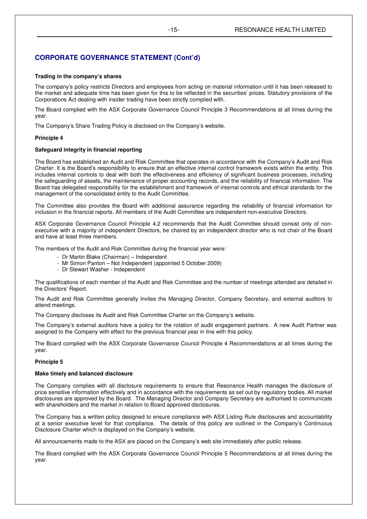#### **Trading in the company's shares**

The company's policy restricts Directors and employees from acting on material information until it has been released to the market and adequate time has been given for this to be reflected in the securities' prices. Statutory provisions of the Corporations Act dealing with insider trading have been strictly complied with.

The Board complied with the ASX Corporate Governance Council Principle 3 Recommendations at all times during the year.

The Company's Share Trading Policy is disclosed on the Company's website.

#### **Principle 4**

#### **Safeguard integrity in financial reporting**

The Board has established an Audit and Risk Committee that operates in accordance with the Company's Audit and Risk Charter. It is the Board's responsibility to ensure that an effective internal control framework exists within the entity. This includes internal controls to deal with both the effectiveness and efficiency of significant business processes, including the safeguarding of assets, the maintenance of proper accounting records, and the reliability of financial information. The Board has delegated responsibility for the establishment and framework of internal controls and ethical standards for the management of the consolidated entity to the Audit Committee.

The Committee also provides the Board with additional assurance regarding the reliability of financial information for inclusion in the financial reports. All members of the Audit Committee are independent non-executive Directors.

ASX Corporate Governance Council Principle 4.2 recommends that the Audit Committee should consist only of nonexecutive with a majority of independent Directors, be chaired by an independent director who is not chair of the Board and have at least three members.

The members of the Audit and Risk Committee during the financial year were:

- Dr Martin Blake (Chairman) Independent
- Mr Simon Panton Not Independent (appointed 5 October 2009)
- Dr Stewart Washer Independent

The qualifications of each member of the Audit and Risk Committee and the number of meetings attended are detailed in the Directors' Report.

The Audit and Risk Committee generally invites the Managing Director, Company Secretary, and external auditors to attend meetings.

The Company discloses its Audit and Risk Committee Charter on the Company's website.

The Company's external auditors have a policy for the rotation of audit engagement partners. A new Audit Partner was assigned to the Company with effect for the previous financial year in line with this policy.

The Board complied with the ASX Corporate Governance Council Principle 4 Recommendations at all times during the year.

#### **Principle 5**

#### **Make timely and balanced disclosure**

The Company complies with all disclosure requirements to ensure that Resonance Health manages the disclosure of price sensitive information effectively and in accordance with the requirements as set out by regulatory bodies. All market disclosures are approved by the Board. The Managing Director and Company Secretary are authorised to communicate with shareholders and the market in relation to Board approved disclosures.

The Company has a written policy designed to ensure compliance with ASX Listing Rule disclosures and accountability at a senior executive level for that compliance. The details of this policy are outlined in the Company's Continuous Disclosure Charter which is displayed on the Company's website.

All announcements made to the ASX are placed on the Company's web site immediately after public release.

The Board complied with the ASX Corporate Governance Council Principle 5 Recommendations at all times during the year.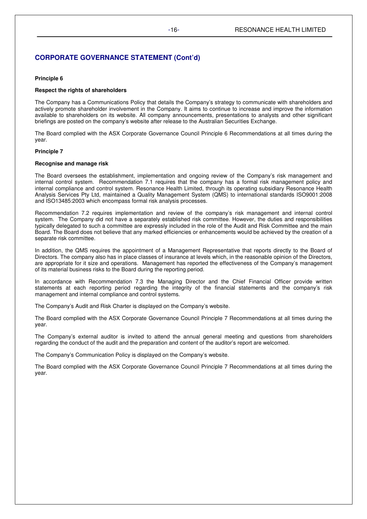#### **Principle 6**

#### **Respect the rights of shareholders**

The Company has a Communications Policy that details the Company's strategy to communicate with shareholders and actively promote shareholder involvement in the Company. It aims to continue to increase and improve the information available to shareholders on its website. All company announcements, presentations to analysts and other significant briefings are posted on the company's website after release to the Australian Securities Exchange.

The Board complied with the ASX Corporate Governance Council Principle 6 Recommendations at all times during the year.

#### **Principle 7**

#### **Recognise and manage risk**

The Board oversees the establishment, implementation and ongoing review of the Company's risk management and internal control system. Recommendation 7.1 requires that the company has a formal risk management policy and internal compliance and control system. Resonance Health Limited, through its operating subsidiary Resonance Health Analysis Services Pty Ltd, maintained a Quality Management System (QMS) to international standards ISO9001:2008 and ISO13485:2003 which encompass formal risk analysis processes.

Recommendation 7.2 requires implementation and review of the company's risk management and internal control system. The Company did not have a separately established risk committee. However, the duties and responsibilities typically delegated to such a committee are expressly included in the role of the Audit and Risk Committee and the main Board. The Board does not believe that any marked efficiencies or enhancements would be achieved by the creation of a separate risk committee.

In addition, the QMS requires the appointment of a Management Representative that reports directly to the Board of Directors. The company also has in place classes of insurance at levels which, in the reasonable opinion of the Directors, are appropriate for it size and operations. Management has reported the effectiveness of the Company's management of its material business risks to the Board during the reporting period.

In accordance with Recommendation 7.3 the Managing Director and the Chief Financial Officer provide written statements at each reporting period regarding the integrity of the financial statements and the company's risk management and internal compliance and control systems.

The Company's Audit and Risk Charter is displayed on the Company's website.

The Board complied with the ASX Corporate Governance Council Principle 7 Recommendations at all times during the year.

The Company's external auditor is invited to attend the annual general meeting and questions from shareholders regarding the conduct of the audit and the preparation and content of the auditor's report are welcomed.

The Company's Communication Policy is displayed on the Company's website.

The Board complied with the ASX Corporate Governance Council Principle 7 Recommendations at all times during the year.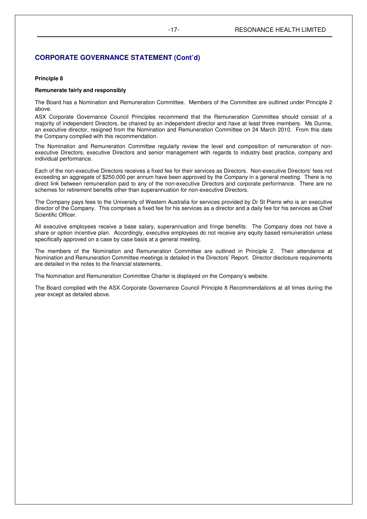#### **Principle 8**

#### **Remunerate fairly and responsibly**

The Board has a Nomination and Remuneration Committee. Members of the Committee are outlined under Principle 2 above.

ASX Corporate Governance Council Principles recommend that the Remuneration Committee should consist of a majority of independent Directors, be chaired by an independent director and have at least three members. Ms Dunne, an executive director, resigned from the Nomination and Remuneration Committee on 24 March 2010. From this date the Company complied with this recommendation.

The Nomination and Remuneration Committee regularly review the level and composition of remuneration of nonexecutive Directors, executive Directors and senior management with regards to industry best practice, company and individual performance.

Each of the non-executive Directors receives a fixed fee for their services as Directors. Non-executive Directors' fees not exceeding an aggregate of \$250,000 per annum have been approved by the Company in a general meeting. There is no direct link between remuneration paid to any of the non-executive Directors and corporate performance. There are no schemes for retirement benefits other than superannuation for non-executive Directors.

The Company pays fees to the University of Western Australia for services provided by Dr St Pierre who is an executive director of the Company. This comprises a fixed fee for his services as a director and a daily fee for his services as Chief Scientific Officer.

All executive employees receive a base salary, superannuation and fringe benefits. The Company does not have a share or option incentive plan. Accordingly, executive employees do not receive any equity based remuneration unless specifically approved on a case by case basis at a general meeting.

The members of the Nomination and Remuneration Committee are outlined in Principle 2. Their attendance at Nomination and Remuneration Committee meetings is detailed in the Directors' Report. Director disclosure requirements are detailed in the notes to the financial statements.

The Nomination and Remuneration Committee Charter is displayed on the Company's website.

The Board complied with the ASX Corporate Governance Council Principle 8 Recommendations at all times during the year except as detailed above.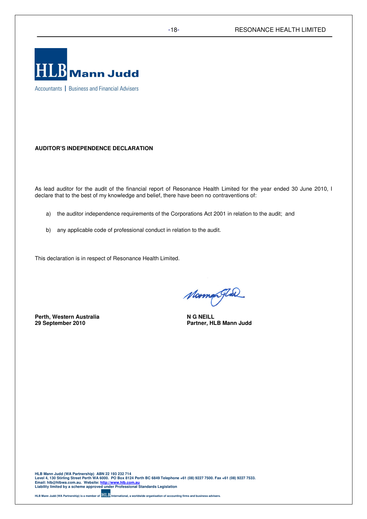

#### **AUDITOR'S INDEPENDENCE DECLARATION**

As lead auditor for the audit of the financial report of Resonance Health Limited for the year ended 30 June 2010, I declare that to the best of my knowledge and belief, there have been no contraventions of:

- a) the auditor independence requirements of the Corporations Act 2001 in relation to the audit; and
- b) any applicable code of professional conduct in relation to the audit.

This declaration is in respect of Resonance Health Limited.

**Perth, Western Australia 29 September 2010** 

Mormon Glad

**N G NEILL Partner, HLB Mann Judd**

HLB Mann Judd (WA Partnership) ABN 22 193 232 714<br>Level 4, 130 Stirling Street Perth WA 6000. PO Box 8124 Perth BC 6849 Telephone +61 (08) 9227 7500. Fax +61 (08) 9227 7533.<br>Email: hIb@hIbwa.com.au. Website: <u>http://ww</u>

**HLB Mann Judd (WA Partnership) is a member of International, a worldwide organisation of accounting firms and business advisers.**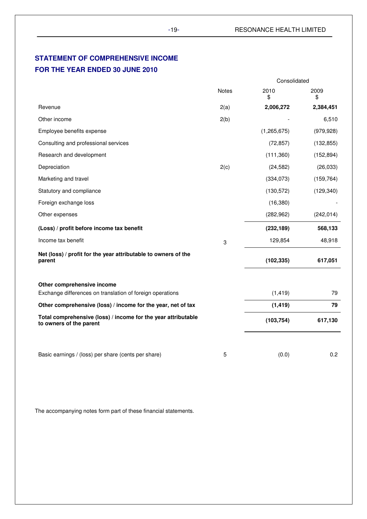# **STATEMENT OF COMPREHENSIVE INCOME FOR THE YEAR ENDED 30 JUNE 2010**

|                                                                                          |              | Consolidated  |            |  |
|------------------------------------------------------------------------------------------|--------------|---------------|------------|--|
|                                                                                          | <b>Notes</b> | 2010<br>\$    | 2009<br>\$ |  |
| Revenue                                                                                  | 2(a)         | 2,006,272     | 2,384,451  |  |
| Other income                                                                             | 2(b)         |               | 6,510      |  |
| Employee benefits expense                                                                |              | (1, 265, 675) | (979, 928) |  |
| Consulting and professional services                                                     |              | (72, 857)     | (132, 855) |  |
| Research and development                                                                 |              | (111,360)     | (152, 894) |  |
| Depreciation                                                                             | 2(c)         | (24, 582)     | (26, 033)  |  |
| Marketing and travel                                                                     |              | (334,073)     | (159, 764) |  |
| Statutory and compliance                                                                 |              | (130, 572)    | (129, 340) |  |
| Foreign exchange loss                                                                    |              | (16, 380)     |            |  |
| Other expenses                                                                           |              | (282, 962)    | (242, 014) |  |
| (Loss) / profit before income tax benefit                                                |              | (232, 189)    | 568,133    |  |
| Income tax benefit                                                                       | 3            | 129,854       | 48,918     |  |
| Net (loss) / profit for the year attributable to owners of the<br>parent                 |              | (102, 335)    | 617,051    |  |
| Other comprehensive income<br>Exchange differences on translation of foreign operations  |              | (1, 419)      | 79         |  |
| Other comprehensive (loss) / income for the year, net of tax                             |              | (1, 419)      | 79         |  |
| Total comprehensive (loss) / income for the year attributable<br>to owners of the parent |              | (103, 754)    | 617,130    |  |
| Basic earnings / (loss) per share (cents per share)                                      | 5            | (0.0)         | 0.2        |  |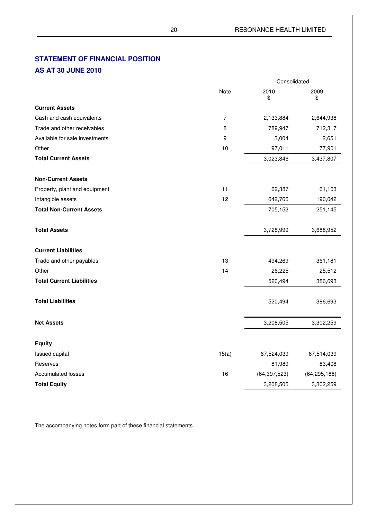# **STATEMENT OF FINANCIAL POSITION AS AT 30 JUNE 2010**

|                                  | Consolidated     |                |                |  |
|----------------------------------|------------------|----------------|----------------|--|
|                                  | Note             | 2010<br>\$     | 2009<br>\$     |  |
| <b>Current Assets</b>            |                  |                |                |  |
| Cash and cash equivalents        | $\overline{7}$   | 2,133,884      | 2,644,938      |  |
| Trade and other receivables      | 8                | 789,947        | 712,317        |  |
| Available for sale investments   | $\boldsymbol{9}$ | 3,004          | 2,651          |  |
| Other                            | 10               | 97,011         | 77,901         |  |
| <b>Total Current Assets</b>      |                  | 3,023,846      | 3,437,807      |  |
| <b>Non-Current Assets</b>        |                  |                |                |  |
| Property, plant and equipment    | 11               | 62,387         | 61,103         |  |
| Intangible assets                | 12               | 642,766        | 190,042        |  |
| <b>Total Non-Current Assets</b>  |                  | 705,153        | 251,145        |  |
| <b>Total Assets</b>              |                  | 3,728,999      | 3,688,952      |  |
| <b>Current Liabilities</b>       |                  |                |                |  |
| Trade and other payables         | 13               | 494,269        | 361,181        |  |
| Other                            | 14               | 26,225         | 25,512         |  |
| <b>Total Current Liabilities</b> |                  | 520,494        | 386,693        |  |
| <b>Total Liabilities</b>         |                  | 520,494        | 386,693        |  |
| <b>Net Assets</b>                |                  | 3,208,505      | 3,302,259      |  |
| <b>Equity</b>                    |                  |                |                |  |
| Issued capital                   | 15(a)            | 67,524,039     | 67,514,039     |  |
| Reserves                         |                  | 81,989         | 83,408         |  |
| <b>Accumulated losses</b>        | 16               | (64, 397, 523) | (64, 295, 188) |  |
| <b>Total Equity</b>              |                  | 3,208,505      | 3,302,259      |  |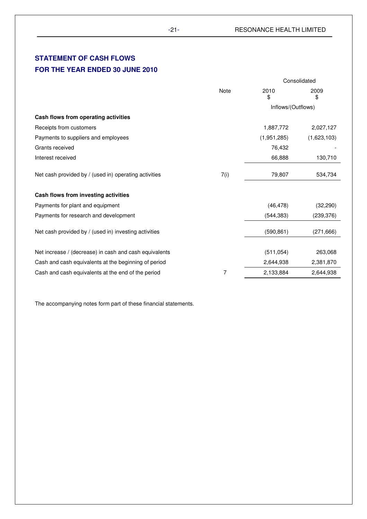# **STATEMENT OF CASH FLOWS FOR THE YEAR ENDED 30 JUNE 2010**

|                                                        |      | Consolidated       |             |  |
|--------------------------------------------------------|------|--------------------|-------------|--|
|                                                        | Note | 2010<br>\$         | 2009<br>\$  |  |
|                                                        |      | Inflows/(Outflows) |             |  |
| Cash flows from operating activities                   |      |                    |             |  |
| Receipts from customers                                |      | 1,887,772          | 2,027,127   |  |
| Payments to suppliers and employees                    |      | (1,951,285)        | (1,623,103) |  |
| Grants received                                        |      | 76,432             |             |  |
| Interest received                                      |      | 66,888             | 130,710     |  |
| Net cash provided by / (used in) operating activities  | 7(i) | 79,807             | 534,734     |  |
| Cash flows from investing activities                   |      |                    |             |  |
| Payments for plant and equipment                       |      | (46, 478)          | (32, 290)   |  |
| Payments for research and development                  |      | (544, 383)         | (239, 376)  |  |
| Net cash provided by / (used in) investing activities  |      | (590, 861)         | (271, 666)  |  |
| Net increase / (decrease) in cash and cash equivalents |      | (511, 054)         | 263,068     |  |
| Cash and cash equivalents at the beginning of period   |      | 2,644,938          | 2,381,870   |  |
| Cash and cash equivalents at the end of the period     | 7    | 2,133,884          | 2,644,938   |  |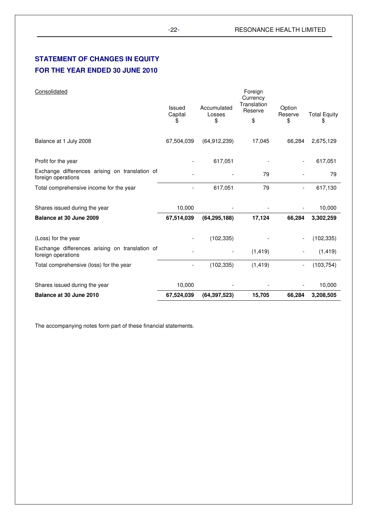# **STATEMENT OF CHANGES IN EQUITY FOR THE YEAR ENDED 30 JUNE 2010**

| Consolidated                                                         | Issued<br>Capital<br>\$ | Accumulated<br>Losses<br>\$ | Foreign<br>Currency<br>Translation<br>Reserve<br>\$ | Option<br>Reserve<br>\$ | <b>Total Equity</b><br>\$ |
|----------------------------------------------------------------------|-------------------------|-----------------------------|-----------------------------------------------------|-------------------------|---------------------------|
| Balance at 1 July 2008                                               | 67,504,039              | (64, 912, 239)              | 17,045                                              | 66,284                  | 2,675,129                 |
| Profit for the year                                                  |                         | 617,051                     |                                                     |                         | 617,051                   |
| Exchange differences arising on translation of<br>foreign operations |                         |                             | 79                                                  |                         | 79                        |
| Total comprehensive income for the year                              |                         | 617,051                     | 79                                                  |                         | 617,130                   |
| Shares issued during the year                                        | 10,000                  |                             |                                                     |                         | 10,000                    |
| Balance at 30 June 2009                                              | 67,514,039              | (64, 295, 188)              | 17,124                                              | 66,284                  | 3,302,259                 |
| (Loss) for the year                                                  |                         | (102, 335)                  |                                                     |                         | (102, 335)                |
| Exchange differences arising on translation of<br>foreign operations |                         |                             | (1, 419)                                            |                         | (1, 419)                  |
| Total comprehensive (loss) for the year                              |                         | (102, 335)                  | (1, 419)                                            |                         | (103, 754)                |
| Shares issued during the year                                        | 10,000                  |                             |                                                     |                         | 10,000                    |
| Balance at 30 June 2010                                              | 67,524,039              | (64, 397, 523)              | 15,705                                              | 66,284                  | 3,208,505                 |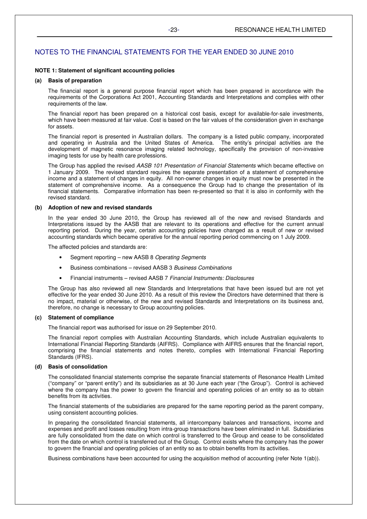#### **NOTE 1: Statement of significant accounting policies**

#### **(a) Basis of preparation**

 The financial report is a general purpose financial report which has been prepared in accordance with the requirements of the Corporations Act 2001, Accounting Standards and Interpretations and complies with other requirements of the law.

 The financial report has been prepared on a historical cost basis, except for available-for-sale investments, which have been measured at fair value. Cost is based on the fair values of the consideration given in exchange for assets.

 The financial report is presented in Australian dollars. The company is a listed public company, incorporated and operating in Australia and the United States of America. The entity's principal activities are the development of magnetic resonance imaging related technology, specifically the provision of non-invasive imaging tests for use by health care professions.

The Group has applied the revised AASB 101 Presentation of Financial Statements which became effective on 1 January 2009. The revised standard requires the separate presentation of a statement of comprehensive income and a statement of changes in equity. All non-owner changes in equity must now be presented in the statement of comprehensive income. As a consequence the Group had to change the presentation of its financial statements. Comparative information has been re-presented so that it is also in conformity with the revised standard.

#### **(b) Adoption of new and revised standards**

 In the year ended 30 June 2010, the Group has reviewed all of the new and revised Standards and Interpretations issued by the AASB that are relevant to its operations and effective for the current annual reporting period. During the year, certain accounting policies have changed as a result of new or revised accounting standards which became operative for the annual reporting period commencing on 1 July 2009.

The affected policies and standards are:

- Segment reporting new AASB 8 Operating Segments
- Business combinations revised AASB 3 Business Combinations
- Financial instruments revised AASB 7 Financial Instruments: Disclosures

 The Group has also reviewed all new Standards and Interpretations that have been issued but are not yet effective for the year ended 30 June 2010. As a result of this review the Directors have determined that there is no impact, material or otherwise, of the new and revised Standards and Interpretations on its business and, therefore, no change is necessary to Group accounting policies.

#### **(c) Statement of compliance**

The financial report was authorised for issue on 29 September 2010.

 The financial report complies with Australian Accounting Standards, which include Australian equivalents to International Financial Reporting Standards (AIFRS). Compliance with AIFRS ensures that the financial report, comprising the financial statements and notes thereto, complies with International Financial Reporting Standards (IFRS).

#### **(d) Basis of consolidation**

 The consolidated financial statements comprise the separate financial statements of Resonance Health Limited ("company" or "parent entity") and its subsidiaries as at 30 June each year ("the Group"). Control is achieved where the company has the power to govern the financial and operating policies of an entity so as to obtain benefits from its activities.

 The financial statements of the subsidiaries are prepared for the same reporting period as the parent company, using consistent accounting policies.

 In preparing the consolidated financial statements, all intercompany balances and transactions, income and expenses and profit and losses resulting from intra-group transactions have been eliminated in full. Subsidiaries are fully consolidated from the date on which control is transferred to the Group and cease to be consolidated from the date on which control is transferred out of the Group. Control exists where the company has the power to govern the financial and operating policies of an entity so as to obtain benefits from its activities.

Business combinations have been accounted for using the acquisition method of accounting (refer Note 1(ab)).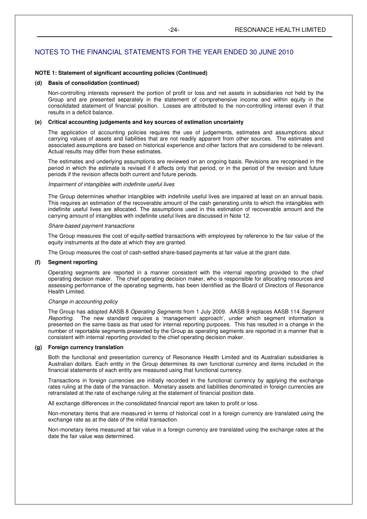#### **NOTE 1: Statement of significant accounting policies (Continued)**

#### **(d) Basis of consolidation (continued)**

 Non-controlling interests represent the portion of profit or loss and net assets in subsidiaries not held by the Group and are presented separately in the statement of comprehensive income and within equity in the consolidated statement of financial position. Losses are attributed to the non-controlling interest even if that results in a deficit balance.

#### **(e) Critical accounting judgements and key sources of estimation uncertainty**

 The application of accounting policies requires the use of judgements, estimates and assumptions about carrying values of assets and liabilities that are not readily apparent from other sources. The estimates and associated assumptions are based on historical experience and other factors that are considered to be relevant. Actual results may differ from these estimates.

The estimates and underlying assumptions are reviewed on an ongoing basis. Revisions are recognised in the period in which the estimate is revised if it affects only that period, or in the period of the revision and future periods if the revision affects both current and future periods.

#### Impairment of intangibles with indefinite useful lives

The Group determines whether intangibles with indefinite useful lives are impaired at least on an annual basis. This requires an estimation of the recoverable amount of the cash generating units to which the intangibles with indefinite useful lives are allocated. The assumptions used in this estimation of recoverable amount and the carrying amount of intangibles with indefinite useful lives are discussed in Note 12.

#### Share-based payment transactions

 The Group measures the cost of equity-settled transactions with employees by reference to the fair value of the equity instruments at the date at which they are granted.

The Group measures the cost of cash-settled share-based payments at fair value at the grant date.

#### **(f) Segment reporting**

 Operating segments are reported in a manner consistent with the internal reporting provided to the chief operating decision maker. The chief operating decision maker, who is responsible for allocating resources and assessing performance of the operating segments, has been identified as the Board of Directors of Resonance Health Limited.

#### Change in accounting policy

The Group has adopted AASB 8 Operating Segments from 1 July 2009. AASB 9 replaces AASB 114 Segment Reporting. The new standard requires a 'management approach', under which segment information is presented on the same basis as that used for internal reporting purposes. This has resulted in a change in the number of reportable segments presented by the Group as operating segments are reported in a manner that is consistent with internal reporting provided to the chief operating decision maker.

#### **(g) Foreign currency translation**

 Both the functional and presentation currency of Resonance Health Limited and its Australian subsidiaries is Australian dollars. Each entity in the Group determines its own functional currency and items included in the financial statements of each entity are measured using that functional currency.

 Transactions in foreign currencies are initially recorded in the functional currency by applying the exchange rates ruling at the date of the transaction. Monetary assets and liabilities denominated in foreign currencies are retranslated at the rate of exchange ruling at the statement of financial position date.

All exchange differences in the consolidated financial report are taken to profit or loss.

Non-monetary items that are measured in terms of historical cost in a foreign currency are translated using the exchange rate as at the date of the initial transaction.

Non-monetary items measured at fair value in a foreign currency are translated using the exchange rates at the date the fair value was determined.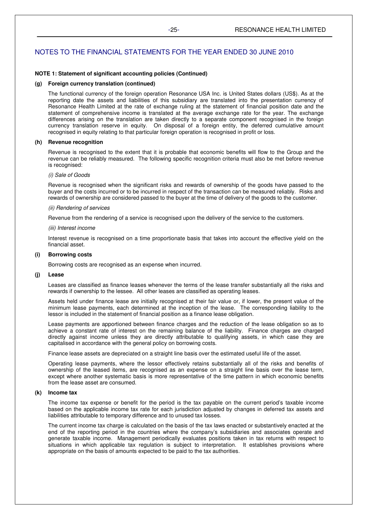#### **NOTE 1: Statement of significant accounting policies (Continued)**

#### **(g) Foreign currency translation (continued)**

 The functional currency of the foreign operation Resonance USA Inc. is United States dollars (US\$). As at the reporting date the assets and liabilities of this subsidiary are translated into the presentation currency of Resonance Health Limited at the rate of exchange ruling at the statement of financial position date and the statement of comprehensive income is translated at the average exchange rate for the year. The exchange differences arising on the translation are taken directly to a separate component recognised in the foreign currency translation reserve in equity. On disposal of a foreign entity, the deferred cumulative amount recognised in equity relating to that particular foreign operation is recognised in profit or loss.

#### **(h) Revenue recognition**

 Revenue is recognised to the extent that it is probable that economic benefits will flow to the Group and the revenue can be reliably measured. The following specific recognition criteria must also be met before revenue is recognised:

#### (i) Sale of Goods

Revenue is recognised when the significant risks and rewards of ownership of the goods have passed to the buyer and the costs incurred or to be incurred in respect of the transaction can be measured reliably. Risks and rewards of ownership are considered passed to the buyer at the time of delivery of the goods to the customer.

#### (ii) Rendering of services

Revenue from the rendering of a service is recognised upon the delivery of the service to the customers.

#### (iii) Interest income

Interest revenue is recognised on a time proportionate basis that takes into account the effective yield on the financial asset.

#### **(i) Borrowing costs**

Borrowing costs are recognised as an expense when incurred.

#### **(j) Lease**

 Leases are classified as finance leases whenever the terms of the lease transfer substantially all the risks and rewards if ownership to the lessee. All other leases are classified as operating leases.

 Assets held under finance lease are initially recognised at their fair value or, if lower, the present value of the minimum lease payments, each determined at the inception of the lease. The corresponding liability to the lessor is included in the statement of financial position as a finance lease obligation.

 Lease payments are apportioned between finance charges and the reduction of the lease obligation so as to achieve a constant rate of interest on the remaining balance of the liability. Finance charges are charged directly against income unless they are directly attributable to qualifying assets, in which case they are capitalised in accordance with the general policy on borrowing costs.

Finance lease assets are depreciated on a straight line basis over the estimated useful life of the asset.

 Operating lease payments, where the lessor effectively retains substantially all of the risks and benefits of ownership of the leased items, are recognised as an expense on a straight line basis over the lease term, except where another systematic basis is more representative of the time pattern in which economic benefits from the lease asset are consumed.

#### **(k) Income tax**

 The income tax expense or benefit for the period is the tax payable on the current period's taxable income based on the applicable income tax rate for each jurisdiction adjusted by changes in deferred tax assets and liabilities attributable to temporary difference and to unused tax losses.

 The current income tax charge is calculated on the basis of the tax laws enacted or substantively enacted at the end of the reporting period in the countries where the company's subsidiaries and associates operate and generate taxable income. Management periodically evaluates positions taken in tax returns with respect to situations in which applicable tax regulation is subject to interpretation. It establishes provisions where appropriate on the basis of amounts expected to be paid to the tax authorities.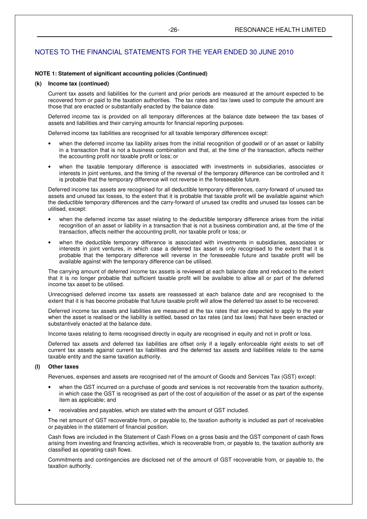#### **NOTE 1: Statement of significant accounting policies (Continued)**

#### **(k) Income tax (continued)**

 Current tax assets and liabilities for the current and prior periods are measured at the amount expected to be recovered from or paid to the taxation authorities. The tax rates and tax laws used to compute the amount are those that are enacted or substantially enacted by the balance date.

 Deferred income tax is provided on all temporary differences at the balance date between the tax bases of assets and liabilities and their carrying amounts for financial reporting purposes.

Deferred income tax liabilities are recognised for all taxable temporary differences except:

- when the deferred income tax liability arises from the initial recognition of goodwill or of an asset or liability in a transaction that is not a business combination and that, at the time of the transaction, affects neither the accounting profit nor taxable profit or loss; or
- when the taxable temporary difference is associated with investments in subsidiaries, associates or interests in joint ventures, and the timing of the reversal of the temporary difference can be controlled and it is probable that the temporary difference will not reverse in the foreseeable future.

 Deferred income tax assets are recognised for all deductible temporary differences, carry-forward of unused tax assets and unused tax losses, to the extent that it is probable that taxable profit will be available against which the deductible temporary differences and the carry-forward of unused tax credits and unused tax losses can be utilised, except:

- when the deferred income tax asset relating to the deductible temporary difference arises from the initial recognition of an asset or liability in a transaction that is not a business combination and, at the time of the transaction, affects neither the accounting profit, nor taxable profit or loss; or
- when the deductible temporary difference is associated with investments in subsidiaries, associates or interests in joint ventures, in which case a deferred tax asset is only recognised to the extent that it is probable that the temporary difference will reverse in the foreseeable future and taxable profit will be available against with the temporary difference can be utilised.

 The carrying amount of deferred income tax assets is reviewed at each balance date and reduced to the extent that it is no longer probable that sufficient taxable profit will be available to allow all or part of the deferred income tax asset to be utilised.

 Unrecognised deferred income tax assets are reassessed at each balance date and are recognised to the extent that it is has become probable that future taxable profit will allow the deferred tax asset to be recovered.

 Deferred income tax assets and liabilities are measured at the tax rates that are expected to apply to the year when the asset is realised or the liability is settled, based on tax rates (and tax laws) that have been enacted or substantively enacted at the balance date.

Income taxes relating to items recognised directly in equity are recognised in equity and not in profit or loss.

 Deferred tax assets and deferred tax liabilities are offset only if a legally enforceable right exists to set off current tax assets against current tax liabilities and the deferred tax assets and liabilities relate to the same taxable entity and the same taxation authority.

#### **(l) Other taxes**

Revenues, expenses and assets are recognised net of the amount of Goods and Services Tax (GST) except:

- when the GST incurred on a purchase of goods and services is not recoverable from the taxation authority, in which case the GST is recognised as part of the cost of acquisition of the asset or as part of the expense item as applicable; and
- receivables and payables, which are stated with the amount of GST included.

 The net amount of GST recoverable from, or payable to, the taxation authority is included as part of receivables or payables in the statement of financial position.

 Cash flows are included in the Statement of Cash Flows on a gross basis and the GST component of cash flows arising from investing and financing activities, which is recoverable from, or payable to, the taxation authority are classified as operating cash flows.

 Commitments and contingencies are disclosed net of the amount of GST recoverable from, or payable to, the taxation authority.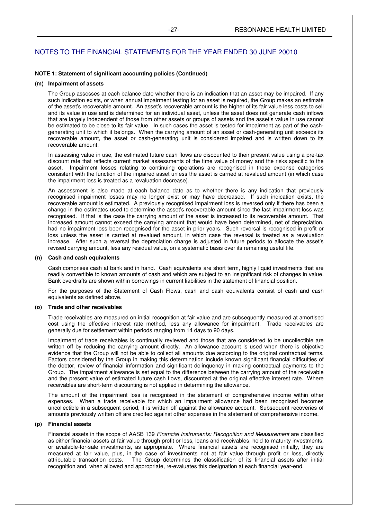#### **NOTE 1: Statement of significant accounting policies (Continued)**

#### **(m) Impairment of assets**

 The Group assesses at each balance date whether there is an indication that an asset may be impaired. If any such indication exists, or when annual impairment testing for an asset is required, the Group makes an estimate of the asset's recoverable amount. An asset's recoverable amount is the higher of its fair value less costs to sell and its value in use and is determined for an individual asset, unless the asset does not generate cash inflows that are largely independent of those from other assets or groups of assets and the asset's value in use cannot be estimated to be close to its fair value. In such cases the asset is tested for impairment as part of the cashgenerating unit to which it belongs. When the carrying amount of an asset or cash-generating unit exceeds its recoverable amount, the asset or cash-generating unit is considered impaired and is written down to its recoverable amount.

In assessing value in use, the estimated future cash flows are discounted to their present value using a pre-tax discount rate that reflects current market assessments of the time value of money and the risks specific to the asset. Impairment losses relating to continuing operations are recognised in those expense categories consistent with the function of the impaired asset unless the asset is carried at revalued amount (in which case the impairment loss is treated as a revaluation decrease).

 An assessment is also made at each balance date as to whether there is any indication that previously recognised impairment losses may no longer exist or may have decreased. If such indication exists, the recoverable amount is estimated. A previously recognised impairment loss is reversed only if there has been a change in the estimates used to determine the asset's recoverable amount since the last impairment loss was recognised. If that is the case the carrying amount of the asset is increased to its recoverable amount. That increased amount cannot exceed the carrying amount that would have been determined, net of depreciation, had no impairment loss been recognised for the asset in prior years. Such reversal is recognised in profit or loss unless the asset is carried at revalued amount, in which case the reversal is treated as a revaluation increase. After such a reversal the depreciation charge is adjusted in future periods to allocate the asset's revised carrying amount, less any residual value, on a systematic basis over its remaining useful life.

#### **(n) Cash and cash equivalents**

Cash comprises cash at bank and in hand. Cash equivalents are short term, highly liquid investments that are readily convertible to known amounts of cash and which are subject to an insignificant risk of changes in value. Bank overdrafts are shown within borrowings in current liabilities in the statement of financial position.

 For the purposes of the Statement of Cash Flows, cash and cash equivalents consist of cash and cash equivalents as defined above.

#### **(o) Trade and other receivables**

 Trade receivables are measured on initial recognition at fair value and are subsequently measured at amortised cost using the effective interest rate method, less any allowance for impairment. Trade receivables are generally due for settlement within periods ranging from 14 days to 90 days.

 Impairment of trade receivables is continually reviewed and those that are considered to be uncollectible are written off by reducing the carrying amount directly. An allowance account is used when there is objective evidence that the Group will not be able to collect all amounts due according to the original contractual terms. Factors considered by the Group in making this determination include known significant financial difficulties of the debtor, review of financial information and significant delinquency in making contractual payments to the Group. The impairment allowance is set equal to the difference between the carrying amount of the receivable and the present value of estimated future cash flows, discounted at the original effective interest rate. Where receivables are short-term discounting is not applied in determining the allowance.

 The amount of the impairment loss is recognised in the statement of comprehensive income within other expenses. When a trade receivable for which an impairment allowance had been recognised becomes uncollectible in a subsequent period, it is written off against the allowance account. Subsequent recoveries of amounts previously written off are credited against other expenses in the statement of comprehensive income.

#### **(p) Financial assets**

Financial assets in the scope of AASB 139 Financial Instruments: Recognition and Measurement are classified as either financial assets at fair value through profit or loss, loans and receivables, held-to-maturity investments, or available-for-sale investments, as appropriate. Where financial assets are recognised initially, they are measured at fair value, plus, in the case of investments not at fair value through profit or loss, directly attributable transaction costs. The Group determines the classification of its financial assets after initial recognition and, when allowed and appropriate, re-evaluates this designation at each financial year-end.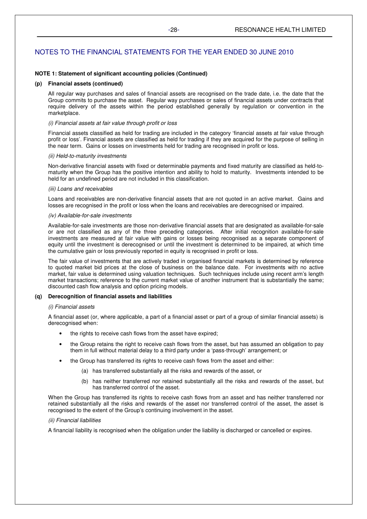#### **NOTE 1: Statement of significant accounting policies (Continued)**

#### **(p) Financial assets (continued)**

 All regular way purchases and sales of financial assets are recognised on the trade date, i.e. the date that the Group commits to purchase the asset. Regular way purchases or sales of financial assets under contracts that require delivery of the assets within the period established generally by regulation or convention in the marketplace.

#### (i) Financial assets at fair value through profit or loss

Financial assets classified as held for trading are included in the category 'financial assets at fair value through profit or loss'. Financial assets are classified as held for trading if they are acquired for the purpose of selling in the near term. Gains or losses on investments held for trading are recognised in profit or loss.

#### (ii) Held-to-maturity investments

Non-derivative financial assets with fixed or determinable payments and fixed maturity are classified as held-tomaturity when the Group has the positive intention and ability to hold to maturity. Investments intended to be held for an undefined period are not included in this classification.

#### (iii) Loans and receivables

Loans and receivables are non-derivative financial assets that are not quoted in an active market. Gains and losses are recognised in the profit or loss when the loans and receivables are derecognised or impaired.

#### (iv) Available-for-sale investments

Available-for-sale investments are those non-derivative financial assets that are designated as available-for-sale or are not classified as any of the three preceding categories. After initial recognition available-for-sale investments are measured at fair value with gains or losses being recognised as a separate component of equity until the investment is derecognised or until the investment is determined to be impaired, at which time the cumulative gain or loss previously reported in equity is recognised in profit or loss.

The fair value of investments that are actively traded in organised financial markets is determined by reference to quoted market bid prices at the close of business on the balance date. For investments with no active market, fair value is determined using valuation techniques. Such techniques include using recent arm's length market transactions; reference to the current market value of another instrument that is substantially the same; discounted cash flow analysis and option pricing models.

#### **(q) Derecognition of financial assets and liabilities**

#### (i) Financial assets

 A financial asset (or, where applicable, a part of a financial asset or part of a group of similar financial assets) is derecognised when:

- the rights to receive cash flows from the asset have expired;
- the Group retains the right to receive cash flows from the asset, but has assumed an obligation to pay them in full without material delay to a third party under a 'pass-through' arrangement; or
- the Group has transferred its rights to receive cash flows from the asset and either:
	- (a) has transferred substantially all the risks and rewards of the asset, or
	- (b) has neither transferred nor retained substantially all the risks and rewards of the asset, but has transferred control of the asset.

 When the Group has transferred its rights to receive cash flows from an asset and has neither transferred nor retained substantially all the risks and rewards of the asset nor transferred control of the asset, the asset is recognised to the extent of the Group's continuing involvement in the asset.

#### (ii) Financial liabilities

A financial liability is recognised when the obligation under the liability is discharged or cancelled or expires.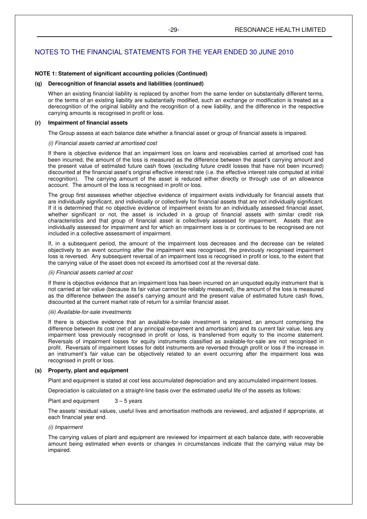#### **NOTE 1: Statement of significant accounting policies (Continued)**

#### **(q) Derecognition of financial assets and liabilities (continued)**

When an existing financial liability is replaced by another from the same lender on substantially different terms. or the terms of an existing liability are substantially modified, such an exchange or modification is treated as a derecognition of the original liability and the recognition of a new liability, and the difference in the respective carrying amounts is recognised in profit or loss.

#### **(r) Impairment of financial assets**

The Group assess at each balance date whether a financial asset or group of financial assets is impaired.

#### (i) Financial assets carried at amortised cost

 If there is objective evidence that an impairment loss on loans and receivables carried at amortised cost has been incurred, the amount of the loss is measured as the difference between the asset's carrying amount and the present value of estimated future cash flows (excluding future credit losses that have not been incurred) discounted at the financial asset's original effective interest rate (i.e. the effective interest rate computed at initial recognition). The carrying amount of the asset is reduced either directly or through use of an allowance account. The amount of the loss is recognised in profit or loss.

 The group first assesses whether objective evidence of impairment exists individually for financial assets that are individually significant, and individually or collectively for financial assets that are not individually significant. If it is determined that no objective evidence of impairment exists for an individually assessed financial asset, whether significant or not, the asset is included in a group of financial assets with similar credit risk characteristics and that group of financial asset is collectively assessed for impairment. Assets that are individually assessed for impairment and for which an impairment loss is or continues to be recognised are not included in a collective assessment of impairment.

 If, in a subsequent period, the amount of the impairment loss decreases and the decrease can be related objectively to an event occurring after the impairment was recognised, the previously recognised impairment loss is reversed. Any subsequent reversal of an impairment loss is recognised in profit or loss, to the extent that the carrying value of the asset does not exceed its amortised cost at the reversal date.

#### (ii) Financial assets carried at cost

 If there is objective evidence that an impairment loss has been incurred on an unquoted equity instrument that is not carried at fair value (because its fair value cannot be reliably measured), the amount of the loss is measured as the difference between the asset's carrying amount and the present value of estimated future cash flows, discounted at the current market rate of return for a similar financial asset.

#### (iii) Available-for-sale investments

 If there is objective evidence that an available-for-sale investment is impaired, an amount comprising the difference between its cost (net of any principal repayment and amortisation) and its current fair value, less any impairment loss previously recognised in profit or loss, is transferred from equity to the income statement. Reversals of impairment losses for equity instruments classified as available-for-sale are not recognised in profit. Reversals of impairment losses for debt instruments are reversed through profit or loss if the increase in an instrument's fair value can be objectively related to an event occurring after the impairment loss was recognised in profit or loss.

#### **(s) Property, plant and equipment**

Plant and equipment is stated at cost less accumulated depreciation and any accumulated impairment losses.

Depreciation is calculated on a straight-line basis over the estimated useful life of the assets as follows:

Plant and equipment  $3 - 5$  years

The assets' residual values, useful lives and amortisation methods are reviewed, and adjusted if appropriate, at each financial year end.

#### (i) Impairment

The carrying values of plant and equipment are reviewed for impairment at each balance date, with recoverable amount being estimated when events or changes in circumstances indicate that the carrying value may be impaired.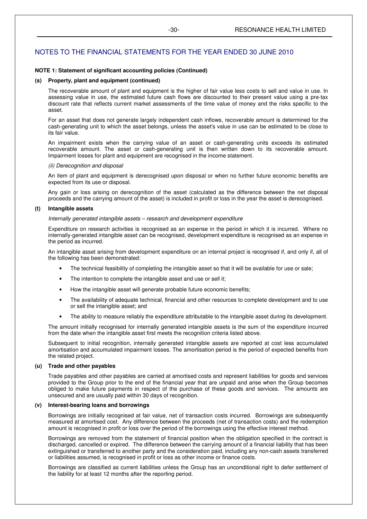#### **NOTE 1: Statement of significant accounting policies (Continued)**

#### **(s) Property, plant and equipment (continued)**

The recoverable amount of plant and equipment is the higher of fair value less costs to sell and value in use. In assessing value in use, the estimated future cash flows are discounted to their present value using a pre-tax discount rate that reflects current market assessments of the time value of money and the risks specific to the asset.

 For an asset that does not generate largely independent cash inflows, recoverable amount is determined for the cash-generating unit to which the asset belongs, unless the asset's value in use can be estimated to be close to its fair value.

 An impairment exists when the carrying value of an asset or cash-generating units exceeds its estimated recoverable amount. The asset or cash-generating unit is then written down to its recoverable amount. Impairment losses for plant and equipment are recognised in the income statement.

#### (ii) Derecognition and disposal

An item of plant and equipment is derecognised upon disposal or when no further future economic benefits are expected from its use or disposal.

 Any gain or loss arising on derecognition of the asset (calculated as the difference between the net disposal proceeds and the carrying amount of the asset) is included in profit or loss in the year the asset is derecognised.

#### **(t) Intangible assets**

#### Internally generated intangible assets – research and development expenditure

 Expenditure on research activities is recognised as an expense in the period in which it is incurred. Where no internally-generated intangible asset can be recognised, development expenditure is recognised as an expense in the period as incurred.

 An intangible asset arising from development expenditure on an internal project is recognised if, and only if, all of the following has been demonstrated:

- The technical feasibility of completing the intangible asset so that it will be available for use or sale;
- The intention to complete the intangible asset and use or sell it;
- How the intangible asset will generate probable future economic benefits;
- The availability of adequate technical, financial and other resources to complete development and to use or sell the intangible asset; and
- The ability to measure reliably the expenditure attributable to the intangible asset during its development.

The amount initially recognised for internally generated intangible assets is the sum of the expenditure incurred from the date when the intangible asset first meets the recognition criteria listed above.

 Subsequent to initial recognition, internally generated intangible assets are reported at cost less accumulated amortisation and accumulated impairment losses. The amortisation period is the period of expected benefits from the related project.

#### **(u) Trade and other payables**

Trade payables and other payables are carried at amortised costs and represent liabilities for goods and services provided to the Group prior to the end of the financial year that are unpaid and arise when the Group becomes obliged to make future payments in respect of the purchase of these goods and services. The amounts are unsecured and are usually paid within 30 days of recognition.

#### **(v) Interest-bearing loans and borrowings**

 Borrowings are initially recognised at fair value, net of transaction costs incurred. Borrowings are subsequently measured at amortised cost. Any difference between the proceeds (net of transaction costs) and the redemption amount is recognised in profit or loss over the period of the borrowings using the effective interest method.

Borrowings are removed from the statement of financial position when the obligation specified in the contract is discharged, cancelled or expired. The difference between the carrying amount of a financial liability that has been extinguished or transferred to another party and the consideration paid, including any non-cash assets transferred or liabilities assumed, is recognised in profit or loss as other income or finance costs.

Borrowings are classified as current liabilities unless the Group has an unconditional right to defer settlement of the liability for at least 12 months after the reporting period.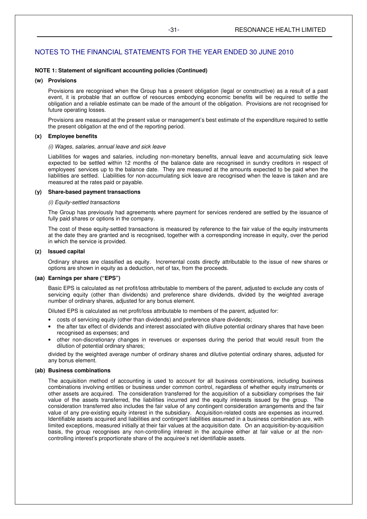#### **NOTE 1: Statement of significant accounting policies (Continued)**

#### **(w) Provisions**

Provisions are recognised when the Group has a present obligation (legal or constructive) as a result of a past event, it is probable that an outflow of resources embodying economic benefits will be required to settle the obligation and a reliable estimate can be made of the amount of the obligation. Provisions are not recognised for future operating losses.

Provisions are measured at the present value or management's best estimate of the expenditure required to settle the present obligation at the end of the reporting period.

#### **(x) Employee benefits**

#### (i) Wages, salaries, annual leave and sick leave

Liabilities for wages and salaries, including non-monetary benefits, annual leave and accumulating sick leave expected to be settled within 12 months of the balance date are recognised in sundry creditors in respect of employees' services up to the balance date. They are measured at the amounts expected to be paid when the liabilities are settled. Liabilities for non-accumulating sick leave are recognised when the leave is taken and are measured at the rates paid or payable.

#### **(y) Share-based payment transactions**

#### (i) Equity-settled transactions

The Group has previously had agreements where payment for services rendered are settled by the issuance of fully paid shares or options in the company.

 The cost of these equity-settled transactions is measured by reference to the fair value of the equity instruments at the date they are granted and is recognised, together with a corresponding increase in equity, over the period in which the service is provided.

#### **(z) Issued capital**

 Ordinary shares are classified as equity. Incremental costs directly attributable to the issue of new shares or options are shown in equity as a deduction, net of tax, from the proceeds.

#### **(aa) Earnings per share ("EPS")**

 Basic EPS is calculated as net profit/loss attributable to members of the parent, adjusted to exclude any costs of servicing equity (other than dividends) and preference share dividends, divided by the weighted average number of ordinary shares, adjusted for any bonus element.

Diluted EPS is calculated as net profit/loss attributable to members of the parent, adjusted for:

- costs of servicing equity (other than dividends) and preference share dividends;
- the after tax effect of dividends and interest associated with dilutive potential ordinary shares that have been recognised as expenses; and
- other non-discretionary changes in revenues or expenses during the period that would result from the dilution of potential ordinary shares;

divided by the weighted average number of ordinary shares and dilutive potential ordinary shares, adjusted for any bonus element.

#### **(ab) Business combinations**

 The acquisition method of accounting is used to account for all business combinations, including business combinations involving entities or business under common control, regardless of whether equity instruments or other assets are acquired. The consideration transferred for the acquisition of a subsidiary comprises the fair value of the assets transferred, the liabilities incurred and the equity interests issued by the group. The consideration transferred also includes the fair value of any contingent consideration arrangements and the fair value of any pre-existing equity interest in the subsidiary. Acquisition-related costs are expenses as incurred. Identifiable assets acquired and liabilities and contingent liabilities assumed in a business combination are, with limited exceptions, measured initially at their fair values at the acquisition date. On an acquisition-by-acquisition basis, the group recognises any non-controlling interest in the acquiree either at fair value or at the noncontrolling interest's proportionate share of the acquiree's net identifiable assets.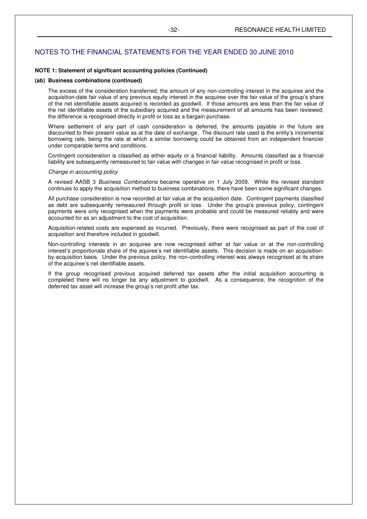#### **NOTE 1: Statement of significant accounting policies (Continued)**

#### **(ab) Business combinations (continued)**

 The excess of the consideration transferred, the amount of any non-controlling interest in the acquiree and the acquisition-date fair value of any previous equity interest in the acquiree over the fair value of the group's share of the net identifiable assets acquired is recorded as goodwill. If those amounts are less than the fair value of the net identifiable assets of the subsidiary acquired and the measurement of all amounts has been reviewed, the difference is recognised directly in profit or loss as a bargain purchase.

 Where settlement of any part of cash consideration is deferred, the amounts payable in the future are discounted to their present value as at the date of exchange. The discount rate used is the entity's incremental borrowing rate, being the rate at which a similar borrowing could be obtained from an independent financier under comparable terms and conditions.

 Contingent consideration is classified as either equity or a financial liability. Amounts classified as a financial liability are subsequently remeasured to fair value with changes in fair value recognised in profit or loss.

#### Change in accounting policy

A revised AASB 3 Business Combinations became operative on 1 July 2009. While the revised standard continues to apply the acquisition method to business combinations, there have been some significant changes.

 All purchase consideration is now recorded at fair value at the acquisition date. Contingent payments classified as debt are subsequently remeasured through profit or loss. Under the group's previous policy, contingent payments were only recognised when the payments were probable and could be measured reliably and were accounted for as an adjustment to the cost of acquisition.

 Acquisition-related costs are expensed as incurred. Previously, there were recognised as part of the cost of acquisition and therefore included in goodwill.

 Non-controlling interests in an acquiree are now recognised either at fair value or at the non-controlling interest's proportionate share of the aquiree's net identifiable assets. This decision is made on an acquisitionby-acquisition basis. Under the previous policy, the non-controlling interest was always recognised at its share of the acquiree's net identifiable assets.

 If the group recognised previous acquired deferred tax assets after the initial acquisition accounting is completed there will no longer be any adjustment to goodwill. As a consequence, the recognition of the deferred tax asset will increase the group's net profit after tax.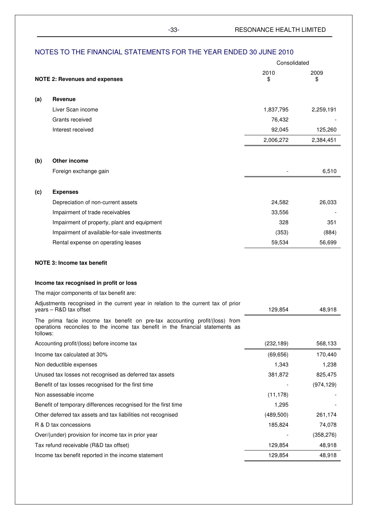|          |                                                                                                                                                               | Consolidated |            |
|----------|---------------------------------------------------------------------------------------------------------------------------------------------------------------|--------------|------------|
|          | <b>NOTE 2: Revenues and expenses</b>                                                                                                                          | 2010<br>\$   | 2009<br>\$ |
| (a)      | Revenue                                                                                                                                                       |              |            |
|          | Liver Scan income                                                                                                                                             | 1,837,795    | 2,259,191  |
|          | Grants received                                                                                                                                               | 76,432       |            |
|          | Interest received                                                                                                                                             | 92,045       | 125,260    |
|          |                                                                                                                                                               | 2,006,272    | 2,384,451  |
| (b)      | Other income                                                                                                                                                  |              |            |
|          | Foreign exchange gain                                                                                                                                         |              | 6,510      |
| (c)      | <b>Expenses</b>                                                                                                                                               |              |            |
|          | Depreciation of non-current assets                                                                                                                            | 24,582       | 26,033     |
|          | Impairment of trade receivables                                                                                                                               | 33,556       |            |
|          | Impairment of property, plant and equipment                                                                                                                   | 328          | 351        |
|          | Impairment of available-for-sale investments                                                                                                                  | (353)        | (884)      |
|          | Rental expense on operating leases                                                                                                                            | 59,534       | 56,699     |
|          | NOTE 3: Income tax benefit                                                                                                                                    |              |            |
|          | Income tax recognised in profit or loss<br>The major components of tax benefit are:                                                                           |              |            |
|          | Adjustments recognised in the current year in relation to the current tax of prior                                                                            |              |            |
|          | years - R&D tax offset                                                                                                                                        | 129,854      | 48,918     |
| follows: | The prima facie income tax benefit on pre-tax accounting profit/(loss) from<br>operations reconciles to the income tax benefit in the financial statements as |              |            |
|          | Accounting profit/(loss) before income tax                                                                                                                    | (232, 189)   | 568,133    |
|          | Income tax calculated at 30%                                                                                                                                  | (69, 656)    | 170,440    |
|          | Non deductible expenses                                                                                                                                       | 1,343        | 1,238      |
|          | Unused tax losses not recognised as deferred tax assets                                                                                                       | 381,872      | 825,475    |
|          | Benefit of tax losses recognised for the first time                                                                                                           |              | (974, 129) |
|          | Non assessable income                                                                                                                                         | (11, 178)    |            |
|          | Benefit of temporary differences recognised for the first time                                                                                                | 1,295        |            |
|          | Other deferred tax assets and tax liabilities not recognised                                                                                                  | (489, 500)   | 261,174    |
|          | R & D tax concessions                                                                                                                                         | 185,824      | 74,078     |
|          | Over/(under) provision for income tax in prior year                                                                                                           |              | (358, 276) |
|          | Tax refund receivable (R&D tax offset)                                                                                                                        | 129,854      | 48,918     |
|          | Income tax benefit reported in the income statement                                                                                                           | 129,854      | 48,918     |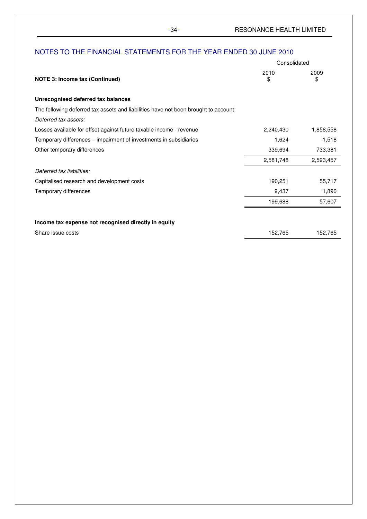|                                                                                     | Consolidated |            |
|-------------------------------------------------------------------------------------|--------------|------------|
| <b>NOTE 3: Income tax (Continued)</b>                                               | 2010<br>\$   | 2009<br>\$ |
| Unrecognised deferred tax balances                                                  |              |            |
| The following deferred tax assets and liabilities have not been brought to account: |              |            |
| Deferred tax assets:                                                                |              |            |
| Losses available for offset against future taxable income - revenue                 | 2,240,430    | 1,858,558  |
| Temporary differences – impairment of investments in subsidiaries                   | 1,624        | 1,518      |
| Other temporary differences                                                         | 339,694      | 733,381    |
|                                                                                     | 2,581,748    | 2,593,457  |
| Deferred tax liabilities:                                                           |              |            |
| Capitalised research and development costs                                          | 190,251      | 55,717     |
| Temporary differences                                                               | 9,437        | 1,890      |
|                                                                                     | 199,688      | 57,607     |
| Income tax expense not recognised directly in equity                                |              |            |
| Share issue costs                                                                   | 152,765      | 152,765    |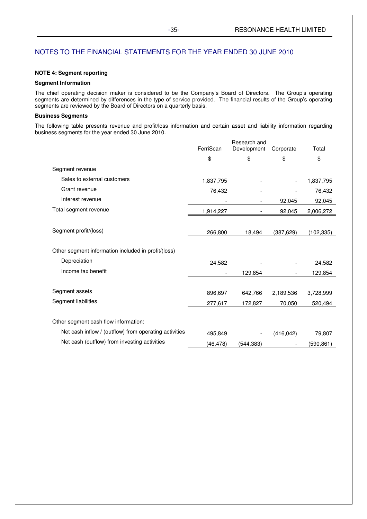#### **NOTE 4: Segment reporting**

#### **Segment Information**

The chief operating decision maker is considered to be the Company's Board of Directors. The Group's operating segments are determined by differences in the type of service provided. The financial results of the Group's operating segments are reviewed by the Board of Directors on a quarterly basis.

#### **Business Segments**

The following table presents revenue and profit/loss information and certain asset and liability information regarding business segments for the year ended 30 June 2010.

|                                                       | FerriScan | Research and<br>Development | Corporate                | Total      |
|-------------------------------------------------------|-----------|-----------------------------|--------------------------|------------|
|                                                       | \$        | \$                          | \$                       | \$         |
| Segment revenue                                       |           |                             |                          |            |
| Sales to external customers                           | 1,837,795 |                             |                          | 1,837,795  |
| Grant revenue                                         | 76,432    |                             | $\overline{\phantom{0}}$ | 76,432     |
| Interest revenue                                      |           |                             | 92,045                   | 92,045     |
| Total segment revenue                                 | 1,914,227 |                             | 92,045                   | 2,006,272  |
| Segment profit/(loss)                                 | 266,800   | 18,494                      | (387, 629)               | (102, 335) |
| Other segment information included in profit/(loss)   |           |                             |                          |            |
| Depreciation                                          | 24,582    |                             |                          | 24,582     |
| Income tax benefit                                    |           | 129,854                     |                          | 129,854    |
| Segment assets                                        | 896,697   | 642,766                     | 2,189,536                | 3,728,999  |
| Segment liabilities                                   | 277,617   | 172,827                     | 70,050                   | 520,494    |
| Other segment cash flow information:                  |           |                             |                          |            |
| Net cash inflow / (outflow) from operating activities | 495,849   |                             | (416, 042)               | 79,807     |
| Net cash (outflow) from investing activities          | (46,478)  | (544,383)                   | $\overline{\phantom{a}}$ | (590,861)  |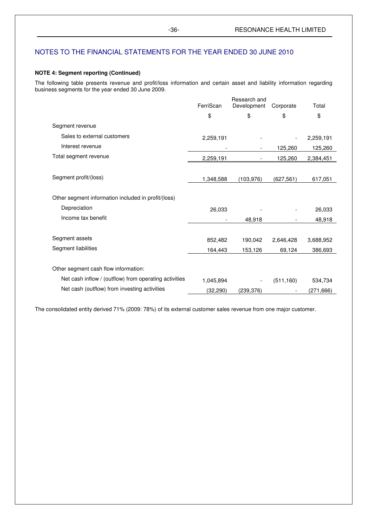## **NOTE 4: Segment reporting (Continued)**

The following table presents revenue and profit/loss information and certain asset and liability information regarding business segments for the year ended 30 June 2009.

|                                                       | FerriScan                | Research and<br>Development | Corporate                | Total     |
|-------------------------------------------------------|--------------------------|-----------------------------|--------------------------|-----------|
|                                                       | \$                       | \$                          | \$                       | \$        |
| Segment revenue                                       |                          |                             |                          |           |
| Sales to external customers                           | 2,259,191                |                             | $\overline{\phantom{a}}$ | 2,259,191 |
| Interest revenue                                      |                          | $\overline{\phantom{a}}$    | 125,260                  | 125,260   |
| Total segment revenue                                 | 2,259,191                |                             | 125,260                  | 2,384,451 |
| Segment profit/(loss)                                 | 1,348,588                | (103, 976)                  | (627, 561)               | 617,051   |
| Other segment information included in profit/(loss)   |                          |                             |                          |           |
| Depreciation                                          | 26,033                   |                             |                          | 26,033    |
| Income tax benefit                                    | $\overline{\phantom{a}}$ | 48,918                      |                          | 48,918    |
| Segment assets                                        | 852,482                  | 190,042                     | 2,646,428                | 3,688,952 |
| Segment liabilities                                   | 164,443                  | 153,126                     | 69,124                   | 386,693   |
| Other segment cash flow information:                  |                          |                             |                          |           |
| Net cash inflow / (outflow) from operating activities | 1,045,894                |                             | (511, 160)               | 534,734   |
| Net cash (outflow) from investing activities          | (32, 290)                | (239, 376)                  |                          | (271,666) |

The consolidated entity derived 71% (2009: 78%) of its external customer sales revenue from one major customer.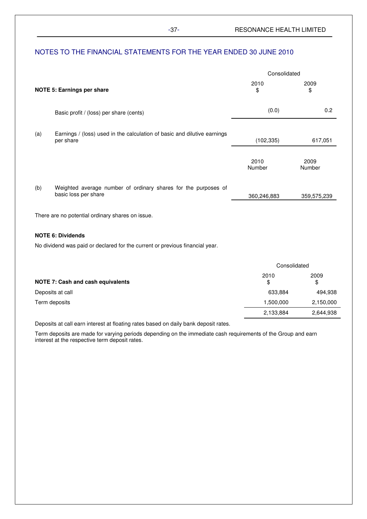|     |                                                                                                          | Consolidated   |                |
|-----|----------------------------------------------------------------------------------------------------------|----------------|----------------|
|     | <b>NOTE 5: Earnings per share</b>                                                                        | 2010<br>\$     | 2009<br>\$     |
|     | Basic profit / (loss) per share (cents)                                                                  | (0.0)          | 0.2            |
| (a) | Earnings / (loss) used in the calculation of basic and dilutive earnings<br>per share                    | (102, 335)     | 617,051        |
|     |                                                                                                          | 2010<br>Number | 2009<br>Number |
| (b) | Weighted average number of ordinary shares for the purposes of<br>basic loss per share                   | 360,246,883    | 359,575,239    |
|     | There are no potential ordinary shares on issue.                                                         |                |                |
|     | <b>NOTE 6: Dividends</b><br>No dividend was paid or declared for the current or previous financial year. |                |                |
|     |                                                                                                          |                | Consolidated   |
|     | OTE 7. Osak and saak suuburla                                                                            | 2010           | 2009           |

| NOTE 7: Cash and cash equivalents |           | \$.       |
|-----------------------------------|-----------|-----------|
| Deposits at call                  | 633.884   | 494.938   |
| Term deposits                     | 1,500,000 | 2,150,000 |
|                                   | 2,133,884 | 2,644,938 |

Deposits at call earn interest at floating rates based on daily bank deposit rates.

Term deposits are made for varying periods depending on the immediate cash requirements of the Group and earn interest at the respective term deposit rates.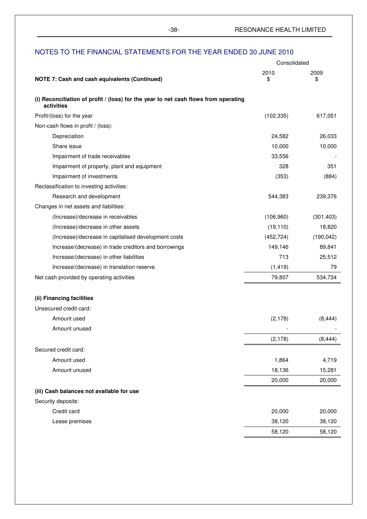|                                                                                                   | Consolidated |            |
|---------------------------------------------------------------------------------------------------|--------------|------------|
| NOTE 7: Cash and cash equivalents (Continued)                                                     | 2010<br>\$   | 2009<br>\$ |
| (i) Reconciliation of profit / (loss) for the year to net cash flows from operating<br>activities |              |            |
| Profit/(loss) for the year                                                                        | (102, 335)   | 617,051    |
| Non-cash flows in profit / (loss):                                                                |              |            |
| Depreciation                                                                                      | 24,582       | 26,033     |
| Share issue                                                                                       | 10,000       | 10,000     |
| Impairment of trade receivables                                                                   | 33,556       |            |
| Impairment of property, plant and equipment                                                       | 328          | 351        |
| Impairment of investments                                                                         | (353)        | (884)      |
| Reclassification to investing activities:                                                         |              |            |
| Research and development                                                                          | 544,383      | 239,376    |
| Changes in net assets and liabilities:                                                            |              |            |
| (Increase)/decrease in receivables                                                                | (106, 960)   | (301, 403) |
| (Increase)/decrease in other assets                                                               | (19, 110)    | 18,820     |
| (Increase)/decrease in capitalised development costs                                              | (452, 724)   | (190, 042) |
| Increase/(decrease) in trade creditors and borrowings                                             | 149,146      | 89,841     |
| Increase/(decrease) in other liabilities                                                          | 713          | 25,512     |
| Increase/(decrease) in translation reserve                                                        | (1, 419)     | 79         |
| Net cash provided by operating activities                                                         | 79,807       | 534,734    |
| (ii) Financing facilities                                                                         |              |            |
| Unsecured credit card:                                                                            |              |            |
| Amount used                                                                                       | (2, 178)     | (8, 444)   |
| Amount unused                                                                                     |              |            |
|                                                                                                   | (2, 178)     | (8, 444)   |
| Secured credit card:                                                                              |              |            |
| Amount used                                                                                       | 1,864        | 4,719      |
| Amount unused                                                                                     | 18,136       | 15,281     |
|                                                                                                   | 20,000       | 20,000     |
| (iii) Cash balances not available for use                                                         |              |            |
| Security deposits:                                                                                |              |            |
| Credit card                                                                                       | 20,000       | 20,000     |
| Lease premises                                                                                    | 38,120       | 38,120     |
|                                                                                                   | 58,120       | 58,120     |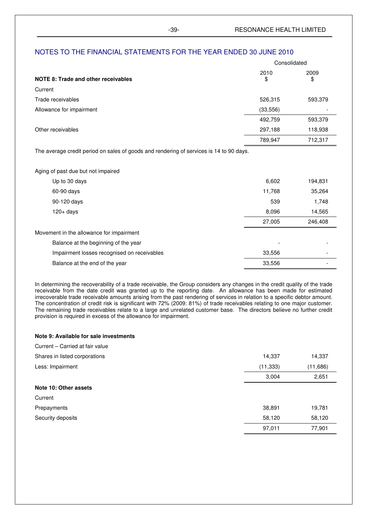|                                                                                         | Consolidated |            |  |
|-----------------------------------------------------------------------------------------|--------------|------------|--|
| NOTE 8: Trade and other receivables                                                     | 2010<br>\$   | 2009<br>\$ |  |
| Current                                                                                 |              |            |  |
| Trade receivables                                                                       | 526,315      | 593,379    |  |
| Allowance for impairment                                                                | (33, 556)    |            |  |
|                                                                                         | 492,759      | 593,379    |  |
| Other receivables                                                                       | 297,188      | 118,938    |  |
|                                                                                         | 789,947      | 712,317    |  |
| The average credit period on sales of goods and rendering of services is 14 to 90 days. |              |            |  |
| Aging of past due but not impaired                                                      |              |            |  |

| Up to 30 days                               | 6,602  | 194,831 |
|---------------------------------------------|--------|---------|
| 60-90 days                                  | 11,768 | 35,264  |
| 90-120 days                                 | 539    | 1,748   |
| $120 + days$                                | 8,096  | 14,565  |
|                                             | 27,005 | 246.408 |
| Movement in the allowance for impairment    |        |         |
| Balance at the beginning of the year        |        |         |
| Impairment losses recognised on receivables | 33,556 |         |
| Balance at the end of the year              | 33,556 |         |

In determining the recoverability of a trade receivable, the Group considers any changes in the credit quality of the trade receivable from the date credit was granted up to the reporting date. An allowance has been made for estimated irrecoverable trade receivable amounts arising from the past rendering of services in relation to a specific debtor amount. The concentration of credit risk is significant with 72% (2009: 81%) of trade receivables relating to one major customer. The remaining trade receivables relate to a large and unrelated customer base. The directors believe no further credit provision is required in excess of the allowance for impairment.

#### **Note 9: Available for sale investments**

| Current – Carried at fair value |           |          |
|---------------------------------|-----------|----------|
| Shares in listed corporations   | 14,337    | 14,337   |
| Less: Impairment                | (11, 333) | (11,686) |
|                                 | 3,004     | 2,651    |
| Note 10: Other assets           |           |          |
| Current                         |           |          |
| Prepayments                     | 38,891    | 19,781   |
| Security deposits               | 58,120    | 58,120   |
|                                 | 97,011    | 77,901   |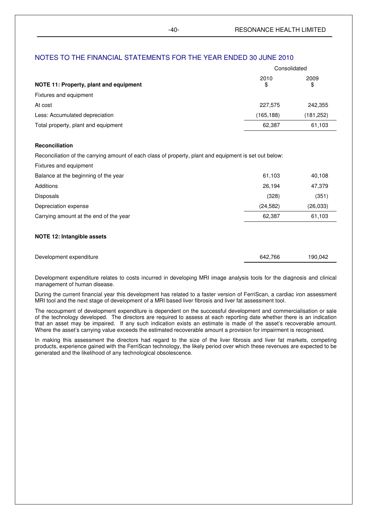|                                        | Consolidated |            |
|----------------------------------------|--------------|------------|
| NOTE 11: Property, plant and equipment | 2010<br>\$   | 2009<br>\$ |
| Fixtures and equipment                 |              |            |
| At cost                                | 227.575      | 242.355    |
| Less: Accumulated depreciation         | (165, 188)   | (181, 252) |
| Total property, plant and equipment    | 62,387       | 61,103     |

#### **Reconciliation**

Reconciliation of the carrying amount of each class of property, plant and equipment is set out below:

| Fixtures and equipment                 |           |           |
|----------------------------------------|-----------|-----------|
| Balance at the beginning of the year   | 61,103    | 40,108    |
| Additions                              | 26,194    | 47,379    |
| <b>Disposals</b>                       | (328)     | (351)     |
| Depreciation expense                   | (24, 582) | (26, 033) |
| Carrying amount at the end of the year | 62,387    | 61,103    |
|                                        |           |           |
| NOTE 10: Intonaible accete             |           |           |

#### **NOTE 12: Intangible assets**

| Development expenditure | 642.766 | 190,042 |
|-------------------------|---------|---------|
|                         |         |         |

Development expenditure relates to costs incurred in developing MRI image analysis tools for the diagnosis and clinical management of human disease.

During the current financial year this development has related to a faster version of FerriScan, a cardiac iron assessment MRI tool and the next stage of development of a MRI based liver fibrosis and liver fat assessment tool.

The recoupment of development expenditure is dependent on the successful development and commercialisation or sale of the technology developed. The directors are required to assess at each reporting date whether there is an indication that an asset may be impaired. If any such indication exists an estimate is made of the asset's recoverable amount. Where the asset's carrying value exceeds the estimated recoverable amount a provision for impairment is recognised.

In making this assessment the directors had regard to the size of the liver fibrosis and liver fat markets, competing products, experience gained with the FerriScan technology, the likely period over which these revenues are expected to be generated and the likelihood of any technological obsolescence.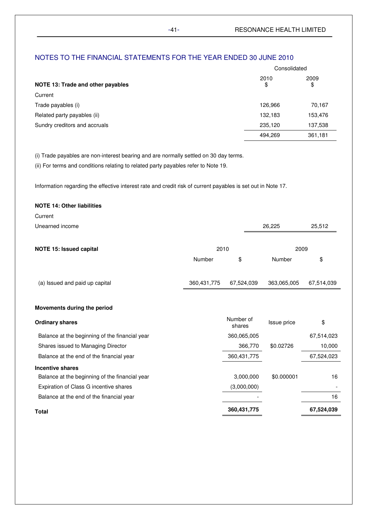|                                   | Consolidated |            |
|-----------------------------------|--------------|------------|
| NOTE 13: Trade and other payables | 2010<br>\$   | 2009<br>\$ |
| Current                           |              |            |
| Trade payables (i)                | 126,966      | 70,167     |
| Related party payables (ii)       | 132,183      | 153,476    |
| Sundry creditors and accruals     | 235,120      | 137,538    |
|                                   | 494.269      | 361,181    |

(i) Trade payables are non-interest bearing and are normally settled on 30 day terms.

(ii) For terms and conditions relating to related party payables refer to Note 19.

Information regarding the effective interest rate and credit risk of current payables is set out in Note 17.

# **NOTE 14: Other liabilities Current** Unearned income 26,225 25,512 **NOTE 15: Issued capital 1999 12009** 2010 2009 Number \$ Number \$ (a) Issued and paid up capital 360,431,775 67,524,039 363,065,005 67,514,039 **Movements during the period Ordinary shares Number of Number of Number of number of shares** lssue price \$ Balance at the beginning of the financial year 360,065,005 360,065,005 67,514,023 Shares issued to Managing Director  $366,770$  \$0.02726 10,000 Balance at the end of the financial year 360,431,775 360,431,775 67,524,023 **Incentive shares**  Balance at the beginning of the financial year 3,000,000 \$0.000001 16 Expiration of Class G incentive shares (3,000,000) and the state of Class G incentive shares (3,000,000) Balance at the end of the financial year  $16$ **Total 360,431,775 67,524,039**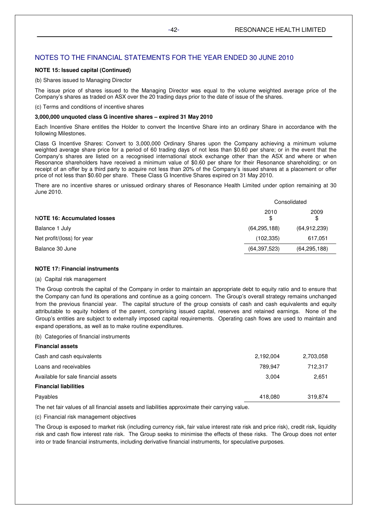#### **NOTE 15: Issued capital (Continued)**

#### (b) Shares issued to Managing Director

The issue price of shares issued to the Managing Director was equal to the volume weighted average price of the Company's shares as traded on ASX over the 20 trading days prior to the date of issue of the shares.

(c) Terms and conditions of incentive shares

#### **3,000,000 unquoted class G incentive shares – expired 31 May 2010**

Each Incentive Share entitles the Holder to convert the Incentive Share into an ordinary Share in accordance with the following Milestones.

Class G Incentive Shares: Convert to 3,000,000 Ordinary Shares upon the Company achieving a minimum volume weighted average share price for a period of 60 trading days of not less than \$0.60 per share; or in the event that the Company's shares are listed on a recognised international stock exchange other than the ASX and where or when Resonance shareholders have received a minimum value of \$0.60 per share for their Resonance shareholding; or on receipt of an offer by a third party to acquire not less than 20% of the Company's issued shares at a placement or offer price of not less than \$0.60 per share. These Class G Incentive Shares expired on 31 May 2010.

There are no incentive shares or unissued ordinary shares of Resonance Health Limited under option remaining at 30 June 2010.

|                                    |                | Consolidated   |  |  |
|------------------------------------|----------------|----------------|--|--|
| <b>NOTE 16: Accumulated losses</b> | 2010<br>\$     | 2009<br>\$     |  |  |
| Balance 1 July                     | (64, 295, 188) | (64, 912, 239) |  |  |
| Net profit/(loss) for year         | (102, 335)     | 617,051        |  |  |
| Balance 30 June                    | (64, 397, 523) | (64, 295, 188) |  |  |

#### **NOTE 17: Financial instruments**

#### (a) Capital risk management

The Group controls the capital of the Company in order to maintain an appropriate debt to equity ratio and to ensure that the Company can fund its operations and continue as a going concern. The Group's overall strategy remains unchanged from the previous financial year. The capital structure of the group consists of cash and cash equivalents and equity attributable to equity holders of the parent, comprising issued capital, reserves and retained earnings. None of the Group's entities are subject to externally imposed capital requirements. Operating cash flows are used to maintain and expand operations, as well as to make routine expenditures.

#### (b) Categories of financial instruments

**Financial assets** Cash and cash equivalents 2,192,004 2,703,058 Loans and receivables 789,947 712,317 Available for sale financial assets 3,004 2,651 **Financial liabilities** Payables 418,080 319,874

The net fair values of all financial assets and liabilities approximate their carrying value.

(c) Financial risk management objectives

The Group is exposed to market risk (including currency risk, fair value interest rate risk and price risk), credit risk, liquidity risk and cash flow interest rate risk. The Group seeks to minimise the effects of these risks. The Group does not enter into or trade financial instruments, including derivative financial instruments, for speculative purposes.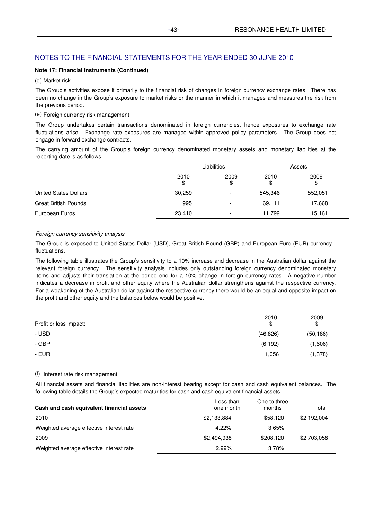#### **Note 17: Financial instruments (Continued)**

#### (d) Market risk

The Group's activities expose it primarily to the financial risk of changes in foreign currency exchange rates. There has been no change in the Group's exposure to market risks or the manner in which it manages and measures the risk from the previous period.

#### (e) Foreign currency risk management

The Group undertakes certain transactions denominated in foreign currencies, hence exposures to exchange rate fluctuations arise. Exchange rate exposures are managed within approved policy parameters. The Group does not engage in forward exchange contracts.

The carrying amount of the Group's foreign currency denominated monetary assets and monetary liabilities at the reporting date is as follows:

|                              | Liabilities |                          | Assets     |            |  |  |
|------------------------------|-------------|--------------------------|------------|------------|--|--|
|                              | 2010<br>\$  | 2009<br>\$               | 2010<br>\$ | 2009<br>\$ |  |  |
| <b>United States Dollars</b> | 30,259      | $\overline{\phantom{0}}$ | 545,346    | 552,051    |  |  |
| <b>Great British Pounds</b>  | 995         | $\overline{\phantom{0}}$ | 69,111     | 17,668     |  |  |
| European Euros               | 23,410      | $\overline{\phantom{0}}$ | 11,799     | 15,161     |  |  |

#### Foreign currency sensitivity analysis

The Group is exposed to United States Dollar (USD), Great British Pound (GBP) and European Euro (EUR) currency fluctuations.

The following table illustrates the Group's sensitivity to a 10% increase and decrease in the Australian dollar against the relevant foreign currency. The sensitivity analysis includes only outstanding foreign currency denominated monetary items and adjusts their translation at the period end for a 10% change in foreign currency rates. A negative number indicates a decrease in profit and other equity where the Australian dollar strengthens against the respective currency. For a weakening of the Australian dollar against the respective currency there would be an equal and opposite impact on the profit and other equity and the balances below would be positive.

| Profit or loss impact: | 2010<br>\$ | 2009<br>\$ |
|------------------------|------------|------------|
| - USD                  | (46, 826)  | (50, 186)  |
| - GBP                  | (6, 192)   | (1,606)    |
| - EUR                  | 1,056      | (1,378)    |

#### (f) Interest rate risk management

All financial assets and financial liabilities are non-interest bearing except for cash and cash equivalent balances. The following table details the Group's expected maturities for cash and cash equivalent financial assets.

| Cash and cash equivalent financial assets | Less than<br>one month | One to three<br>months | Total       |
|-------------------------------------------|------------------------|------------------------|-------------|
| 2010                                      | \$2,133,884            | \$58,120               | \$2,192,004 |
| Weighted average effective interest rate  | 4.22%                  | 3.65%                  |             |
| 2009                                      | \$2,494,938            | \$208,120              | \$2,703,058 |
| Weighted average effective interest rate  | 2.99%                  | 3.78%                  |             |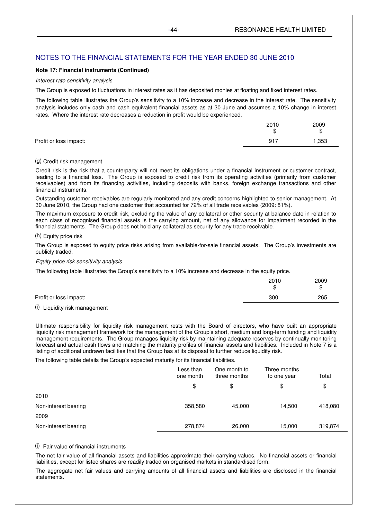#### **Note 17: Financial instruments (Continued)**

#### Interest rate sensitivity analysis

The Group is exposed to fluctuations in interest rates as it has deposited monies at floating and fixed interest rates.

The following table illustrates the Group's sensitivity to a 10% increase and decrease in the interest rate. The sensitivity analysis includes only cash and cash equivalent financial assets as at 30 June and assumes a 10% change in interest rates. Where the interest rate decreases a reduction in profit would be experienced.

|                        | 2010    | 2009  |
|------------------------|---------|-------|
|                        | ሖ<br>۰D | \$    |
| Profit or loss impact: | 917     | 1,353 |
|                        |         |       |

#### (g) Credit risk management

Credit risk is the risk that a counterparty will not meet its obligations under a financial instrument or customer contract, leading to a financial loss. The Group is exposed to credit risk from its operating activities (primarily from customer receivables) and from its financing activities, including deposits with banks, foreign exchange transactions and other financial instruments.

Outstanding customer receivables are regularly monitored and any credit concerns highlighted to senior management. At 30 June 2010, the Group had one customer that accounted for 72% of all trade receivables (2009: 81%).

The maximum exposure to credit risk, excluding the value of any collateral or other security at balance date in relation to each class of recognised financial assets is the carrying amount, net of any allowance for impairment recorded in the financial statements. The Group does not hold any collateral as security for any trade receivable.

(h) Equity price risk

The Group is exposed to equity price risks arising from available-for-sale financial assets. The Group's investments are publicly traded.

#### Equity price risk sensitivity analysis

The following table illustrates the Group's sensitivity to a 10% increase and decrease in the equity price.

|                                                                                                                                                            | 2010<br>ጦ<br>۰D | 2009 |
|------------------------------------------------------------------------------------------------------------------------------------------------------------|-----------------|------|
| Profit or loss impact:                                                                                                                                     | 300             | 265  |
| $\mathcal{L}(\mathbf{X}) = \mathbf{X} \times \mathbf{X} = \mathbf{X} \times \mathbf{X} \times \mathbf{X} = \mathbf{X} \times \mathbf{X} \times \mathbf{X}$ |                 |      |

(i) Liquidity risk management

Ultimate responsibility for liquidity risk management rests with the Board of directors, who have built an appropriate liquidity risk management framework for the management of the Group's short, medium and long-term funding and liquidity management requirements. The Group manages liquidity risk by maintaining adequate reserves by continually monitoring forecast and actual cash flows and matching the maturity profiles of financial assets and liabilities. Included in Note 7 is a listing of additional undrawn facilities that the Group has at its disposal to further reduce liquidity risk.

The following table details the Group's expected maturity for its financial liabilities.

|                      | Less than<br>one month | One month to<br>three months | Three months<br>to one year | Total   |
|----------------------|------------------------|------------------------------|-----------------------------|---------|
|                      | \$                     | \$                           | \$                          | \$      |
| 2010                 |                        |                              |                             |         |
| Non-interest bearing | 358,580                | 45,000                       | 14,500                      | 418,080 |
| 2009                 |                        |                              |                             |         |
| Non-interest bearing | 278,874                | 26,000                       | 15,000                      | 319,874 |

#### (j) Fair value of financial instruments

The net fair value of all financial assets and liabilities approximate their carrying values. No financial assets or financial liabilities, except for listed shares are readily traded on organised markets in standardised form.

The aggregate net fair values and carrying amounts of all financial assets and liabilities are disclosed in the financial statements.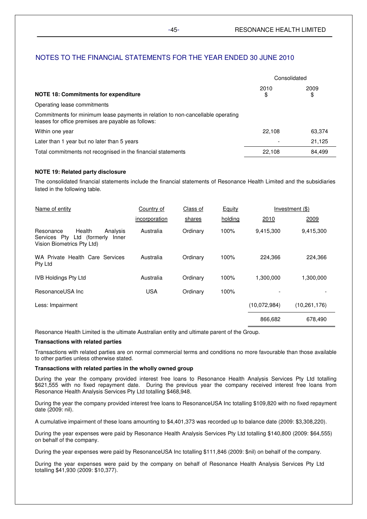|                                                                                                                                       | Consolidated |            |
|---------------------------------------------------------------------------------------------------------------------------------------|--------------|------------|
| NOTE 18: Commitments for expenditure                                                                                                  | 2010<br>\$   | 2009<br>\$ |
| Operating lease commitments                                                                                                           |              |            |
| Commitments for minimum lease payments in relation to non-cancellable operating<br>leases for office premises are payable as follows: |              |            |
| Within one year                                                                                                                       | 22.108       | 63,374     |
| Later than 1 year but no later than 5 years                                                                                           |              | 21,125     |
| Total commitments not recognised in the financial statements                                                                          | 22.108       | 84.499     |

#### **NOTE 19: Related party disclosure**

The consolidated financial statements include the financial statements of Resonance Health Limited and the subsidiaries listed in the following table.

| Name of entity                                                                                       | Country of    | Class of | Equity  |              | Investment $(\$)$ |
|------------------------------------------------------------------------------------------------------|---------------|----------|---------|--------------|-------------------|
|                                                                                                      | incorporation | shares   | holding | 2010         | 2009              |
| Health<br>Analysis<br>Resonance<br>Services Pty Ltd (formerly<br>Inner<br>Vision Biometrics Pty Ltd) | Australia     | Ordinary | 100%    | 9,415,300    | 9,415,300         |
| WA Private Health Care Services<br>Pty Ltd                                                           | Australia     | Ordinary | 100%    | 224,366      | 224,366           |
| <b>IVB Holdings Pty Ltd</b>                                                                          | Australia     | Ordinary | 100%    | 1,300,000    | 1,300,000         |
| ResonanceUSA Inc.                                                                                    | <b>USA</b>    | Ordinary | 100%    |              |                   |
| Less: Impairment                                                                                     |               |          |         | (10,072,984) | (10, 261, 176)    |
|                                                                                                      |               |          |         | 866,682      | 678,490           |

Resonance Health Limited is the ultimate Australian entity and ultimate parent of the Group.

#### **Transactions with related parties**

Transactions with related parties are on normal commercial terms and conditions no more favourable than those available to other parties unless otherwise stated.

#### **Transactions with related parties in the wholly owned group**

During the year the company provided interest free loans to Resonance Health Analysis Services Pty Ltd totalling \$621,555 with no fixed repayment date. During the previous year the company received interest free loans from Resonance Health Analysis Services Pty Ltd totalling \$468,948.

During the year the company provided interest free loans to ResonanceUSA Inc totalling \$109,820 with no fixed repayment date (2009: nil).

A cumulative impairment of these loans amounting to \$4,401,373 was recorded up to balance date (2009: \$3,308,220).

During the year expenses were paid by Resonance Health Analysis Services Pty Ltd totalling \$140,800 (2009: \$64,555) on behalf of the company.

During the year expenses were paid by ResonanceUSA Inc totalling \$111,846 (2009: \$nil) on behalf of the company.

During the year expenses were paid by the company on behalf of Resonance Health Analysis Services Pty Ltd totalling \$41,930 (2009: \$10,377).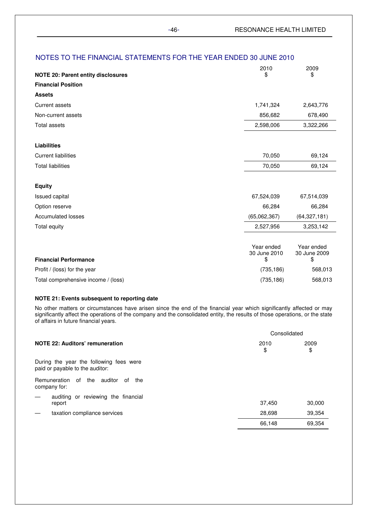| <b>NOTE 20: Parent entity disclosures</b> | 2010<br>\$                       | 2009<br>\$                       |
|-------------------------------------------|----------------------------------|----------------------------------|
| <b>Financial Position</b>                 |                                  |                                  |
| <b>Assets</b>                             |                                  |                                  |
| <b>Current assets</b>                     | 1,741,324                        | 2,643,776                        |
| Non-current assets                        | 856,682                          | 678,490                          |
| <b>Total assets</b>                       | 2,598,006                        | 3,322,266                        |
| <b>Liabilities</b>                        |                                  |                                  |
| <b>Current liabilities</b>                | 70,050                           | 69,124                           |
| <b>Total liabilities</b>                  | 70,050                           | 69,124                           |
| <b>Equity</b>                             |                                  |                                  |
| Issued capital                            | 67,524,039                       | 67,514,039                       |
| Option reserve                            | 66,284                           | 66,284                           |
| <b>Accumulated losses</b>                 | (65,062,367)                     | (64, 327, 181)                   |
| <b>Total equity</b>                       | 2,527,956                        | 3,253,142                        |
|                                           |                                  |                                  |
| <b>Financial Performance</b>              | Year ended<br>30 June 2010<br>\$ | Year ended<br>30 June 2009<br>\$ |
| Profit / (loss) for the year              | (735, 186)                       | 568,013                          |
| Total comprehensive income / (loss)       | (735, 186)                       | 568,013                          |

#### **NOTE 21: Events subsequent to reporting date**

No other matters or circumstances have arisen since the end of the financial year which significantly affected or may significantly affect the operations of the company and the consolidated entity, the results of those operations, or the state of affairs in future financial years.

|                                                                            | Consolidated |            |
|----------------------------------------------------------------------------|--------------|------------|
| NOTE 22: Auditors' remuneration                                            | 2010<br>\$   | 2009<br>\$ |
| During the year the following fees were<br>paid or payable to the auditor: |              |            |
| the<br>Remuneration of<br>auditor<br>the<br>of<br>company for:             |              |            |
| auditing or reviewing the financial<br>report                              | 37,450       | 30,000     |
| taxation compliance services                                               | 28,698       | 39,354     |
|                                                                            | 66,148       | 69.354     |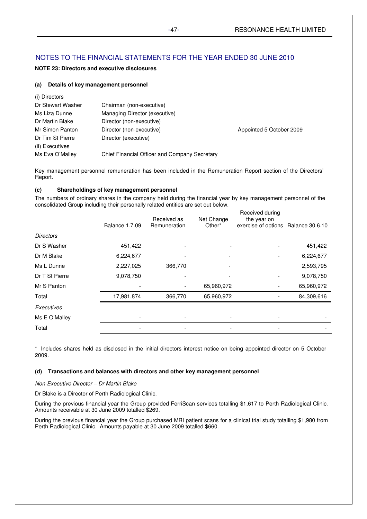#### **NOTE 23: Directors and executive disclosures**

#### **(a) Details of key management personnel**

| (i) Directors     |                                               |                          |
|-------------------|-----------------------------------------------|--------------------------|
| Dr Stewart Washer | Chairman (non-executive)                      |                          |
| Ms Liza Dunne     | Managing Director (executive)                 |                          |
| Dr Martin Blake   | Director (non-executive)                      |                          |
| Mr Simon Panton   | Director (non-executive)                      | Appointed 5 October 2009 |
| Dr Tim St Pierre  | Director (executive)                          |                          |
| (ii) Executives   |                                               |                          |
| Ms Eva O'Malley   | Chief Financial Officer and Company Secretary |                          |

Key management personnel remuneration has been included in the Remuneration Report section of the Directors' Report.

#### **(c) Shareholdings of key management personnel**

The numbers of ordinary shares in the company held during the financial year by key management personnel of the consolidated Group including their personally related entities are set out below.

|                  | <b>Balance 1.7.09</b> | Received as<br>Remuneration | Net Change<br>Other* | Received during<br>the year on<br>exercise of options | Balance 30.6.10 |
|------------------|-----------------------|-----------------------------|----------------------|-------------------------------------------------------|-----------------|
| <b>Directors</b> |                       |                             |                      |                                                       |                 |
| Dr S Washer      | 451,422               |                             |                      |                                                       | 451,422         |
| Dr M Blake       | 6,224,677             |                             |                      |                                                       | 6,224,677       |
| Ms L Dunne       | 2,227,025             | 366,770                     |                      |                                                       | 2,593,795       |
| Dr T St Pierre   | 9,078,750             |                             |                      |                                                       | 9,078,750       |
| Mr S Panton      |                       |                             | 65,960,972           |                                                       | 65,960,972      |
| Total            | 17,981,874            | 366,770                     | 65,960,972           |                                                       | 84,309,616      |
| Executives       |                       |                             |                      |                                                       |                 |
| Ms E O'Malley    |                       |                             |                      |                                                       |                 |
| Total            | -                     |                             |                      |                                                       |                 |

\* Includes shares held as disclosed in the initial directors interest notice on being appointed director on 5 October 2009.

#### **(d) Transactions and balances with directors and other key management personnel**

Non-Executive Director – Dr Martin Blake

Dr Blake is a Director of Perth Radiological Clinic.

During the previous financial year the Group provided FerriScan services totalling \$1,617 to Perth Radiological Clinic. Amounts receivable at 30 June 2009 totalled \$269.

During the previous financial year the Group purchased MRI patient scans for a clinical trial study totalling \$1,980 from Perth Radiological Clinic. Amounts payable at 30 June 2009 totalled \$660.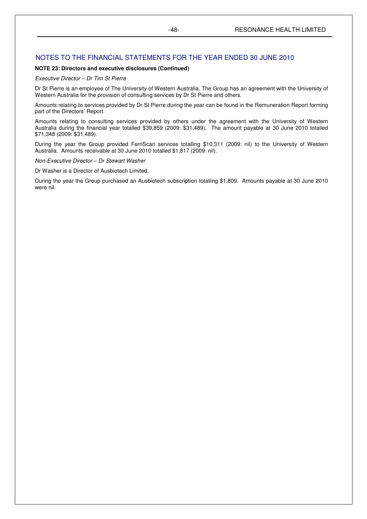#### **NOTE 23: Directors and executive disclosures (Continued)**

#### Executive Director – Dr Tim St Pierre

Dr St Pierre is an employee of The University of Western Australia. The Group has an agreement with the University of Western Australia for the provision of consulting services by Dr St Pierre and others.

Amounts relating to services provided by Dr St Pierre during the year can be found in the Remuneration Report forming part of the Directors' Report.

Amounts relating to consulting services provided by others under the agreement with the University of Western Australia during the financial year totalled \$39,859 (2009: \$31,489). The amount payable at 30 June 2010 totalled \$71,348 (2009: \$31,489).

During the year the Group provided FerriScan services totalling \$10,311 (2009: nil) to the University of Western Australia. Amounts receivable at 30 June 2010 totalled \$1,817 (2009: nil).

#### Non-Executive Director – Dr Stewart Washer

Dr Washer is a Director of Ausbiotech Limited.

During the year the Group purchased an Ausbiotech subscription totalling \$1,809. Amounts payable at 30 June 2010 were nil.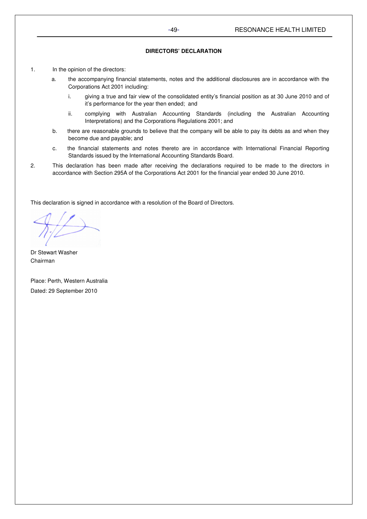#### **DIRECTORS' DECLARATION**

- 1. In the opinion of the directors:
	- a. the accompanying financial statements, notes and the additional disclosures are in accordance with the Corporations Act 2001 including:
		- i. giving a true and fair view of the consolidated entity's financial position as at 30 June 2010 and of it's performance for the year then ended; and
		- ii. complying with Australian Accounting Standards (including the Australian Accounting Interpretations) and the Corporations Regulations 2001; and
	- b. there are reasonable grounds to believe that the company will be able to pay its debts as and when they become due and payable; and
	- c. the financial statements and notes thereto are in accordance with International Financial Reporting Standards issued by the International Accounting Standards Board.
- 2. This declaration has been made after receiving the declarations required to be made to the directors in accordance with Section 295A of the Corporations Act 2001 for the financial year ended 30 June 2010.

This declaration is signed in accordance with a resolution of the Board of Directors.

Dr Stewart Washer Chairman

Place: Perth, Western Australia Dated: 29 September 2010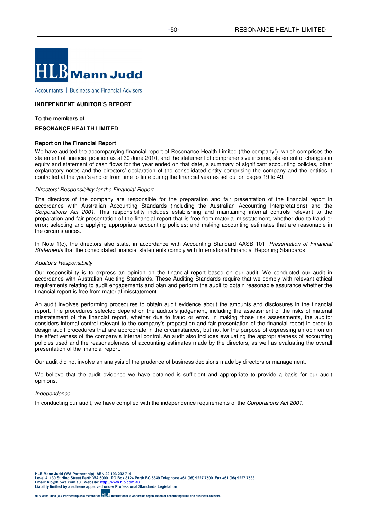

Accountants | Business and Financial Advisers

#### **INDEPENDENT AUDITOR'S REPORT**

**To the members of** 

#### **RESONANCE HEALTH LIMITED**

#### **Report on the Financial Report**

We have audited the accompanying financial report of Resonance Health Limited ("the company"), which comprises the statement of financial position as at 30 June 2010, and the statement of comprehensive income, statement of changes in equity and statement of cash flows for the year ended on that date, a summary of significant accounting policies, other explanatory notes and the directors' declaration of the consolidated entity comprising the company and the entities it controlled at the year's end or from time to time during the financial year as set out on pages 19 to 49.

#### Directors' Responsibility for the Financial Report

The directors of the company are responsible for the preparation and fair presentation of the financial report in accordance with Australian Accounting Standards (including the Australian Accounting Interpretations) and the Corporations Act 2001. This responsibility includes establishing and maintaining internal controls relevant to the preparation and fair presentation of the financial report that is free from material misstatement, whether due to fraud or error; selecting and applying appropriate accounting policies; and making accounting estimates that are reasonable in the circumstances.

In Note 1(c), the directors also state, in accordance with Accounting Standard AASB 101: Presentation of Financial Statements that the consolidated financial statements comply with International Financial Reporting Standards.

#### Auditor's Responsibility

Our responsibility is to express an opinion on the financial report based on our audit. We conducted our audit in accordance with Australian Auditing Standards. These Auditing Standards require that we comply with relevant ethical requirements relating to audit engagements and plan and perform the audit to obtain reasonable assurance whether the financial report is free from material misstatement.

An audit involves performing procedures to obtain audit evidence about the amounts and disclosures in the financial report. The procedures selected depend on the auditor's judgement, including the assessment of the risks of material misstatement of the financial report, whether due to fraud or error. In making those risk assessments, the auditor considers internal control relevant to the company's preparation and fair presentation of the financial report in order to design audit procedures that are appropriate in the circumstances, but not for the purpose of expressing an opinion on the effectiveness of the company's internal control. An audit also includes evaluating the appropriateness of accounting policies used and the reasonableness of accounting estimates made by the directors, as well as evaluating the overall presentation of the financial report.

Our audit did not involve an analysis of the prudence of business decisions made by directors or management.

We believe that the audit evidence we have obtained is sufficient and appropriate to provide a basis for our audit opinions.

#### Independence

In conducting our audit, we have complied with the independence requirements of the Corporations Act 2001.